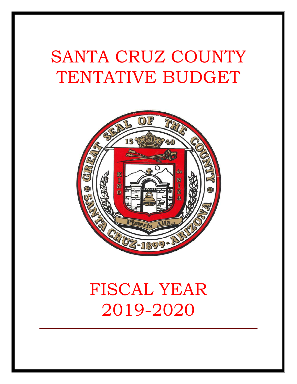# SANTA CRUZ COUNTY TENTATIVE BUDGET



## FISCAL YEAR 2019-2020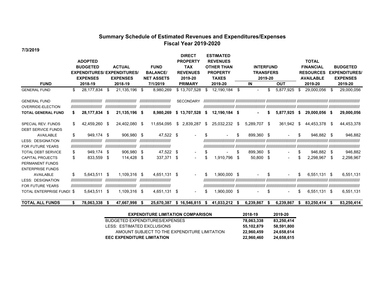#### **Summary Schedule of Estimated Revenues and Expenditures/Expense s Fiscal Year 2019-2020**

**7/3/2019**

|                           |    |                            |      |                                    |      |                            |     | <b>DIRECT</b>    |    | <b>ESTIMATED</b>  |      |                          |            |                          |                  |                  |                      |            |
|---------------------------|----|----------------------------|------|------------------------------------|------|----------------------------|-----|------------------|----|-------------------|------|--------------------------|------------|--------------------------|------------------|------------------|----------------------|------------|
|                           |    | <b>ADOPTED</b>             |      |                                    |      |                            |     | <b>PROPERTY</b>  |    | <b>REVENUES</b>   |      |                          |            |                          |                  | <b>TOTAL</b>     |                      |            |
|                           |    | <b>BUDGETED</b>            |      | <b>ACTUAL</b>                      |      | <b>FUND</b>                |     | <b>TAX</b>       |    | <b>OTHER THAN</b> |      | <b>INTERFUND</b>         |            |                          |                  | <b>FINANCIAL</b> | <b>BUDGETED</b>      |            |
|                           |    |                            |      | <b>EXPENDITURES/ EXPENDITURES/</b> |      | <b>BALANCE</b>             |     | <b>REVENUES</b>  |    | <b>PROPERTY</b>   |      | <b>TRANSFERS</b>         |            |                          |                  | <b>RESOURCES</b> | <b>EXPENDITURES/</b> |            |
|                           |    | <b>EXPENSES</b>            |      | <b>EXPENSES</b>                    |      | <b>NET ASSETS</b>          |     | 2019-20          |    | <b>TAXES</b>      |      | 2019-20                  |            |                          | <b>AVAILABLE</b> |                  | <b>EXPENSES</b>      |            |
| <b>FUND</b>               |    | 2018-19                    |      | 2018-19                            |      | 7/1/2019                   |     | <b>PRIMARY</b>   |    | 2019-20           |      | IN                       | <b>OUT</b> |                          | 2019-20          | 2019-20          |                      |            |
| <b>GENERAL FUND</b>       | \$ | 28,177,834                 | S    | 21,135,196 \$                      |      | 8,980,269                  |     | \$13,707,528     | -S | 12,190,184        | \$   | $\overline{\phantom{0}}$ | \$.        | 5,877,925                | \$               | 29,000,056       | S                    | 29,000,056 |
| <b>GENERAL FUND</b>       |    | ,,,,,,,,,,,,,,,,,,,,,,,,,, |      | ,,,,,,,,,,,,,,,,,,,,,,,,,,         |      | ,,,,,,,,,,,,,,,,,,,,,,,,,, |     | <b>SECONDARY</b> |    |                   |      |                          |            |                          |                  |                  |                      |            |
| <b>OVERRIDE-ELECTION</b>  |    | ,,,,,,,,,,,,,,,,,,,,,,,,,, |      | ,,,,,,,,,,,,,,,,,,,,,,,,,,         |      | ,,,,,,,,,,,,,,,,,,,,,,,,,, |     |                  |    |                   |      |                          |            |                          |                  |                  |                      |            |
| <b>TOTAL GENERAL FUND</b> | S  | 28,177,834                 | - \$ | 21,135,196 \$                      |      | 8,980,269                  | s.  | 13,707,528       | S  | 12,190,184 \$     |      |                          | S          | 5,877,925                | - \$             | 29,000,056 \$    |                      | 29,000,056 |
| SPECIAL REV. FUNDS        | \$ | 42.459.260 \$              |      | 24,402,080 \$                      |      | 11,654,095                 | \$. | 2.839.287        | \$ | 25,032,232        | - \$ | 5,289,707                | -\$        | 361.942                  | \$               | 44.453.378       | S.                   | 44,453,378 |
| <b>DEBT SERVICE FUNDS</b> |    |                            |      |                                    |      |                            |     |                  |    |                   |      |                          |            |                          |                  |                  |                      |            |
| AVAILABLE                 | \$ | 949.174 \$                 |      | 906.980 \$                         |      | 47,522 \$                  |     |                  |    |                   | S    | 899,360 \$               |            |                          | \$               | 946,882          | -\$                  | 946,882    |
| <b>LESS: DESIGNATION</b>  |    | ,,,,,,,,,,,,,,,,,,,,,,,,,, |      | ,,,,,,,,,,,,,,,,,,,,,,,,,,         |      | ,,,,,,,,,,,,,,,,,,,,,,,,,, |     |                  |    |                   |      |                          |            |                          |                  |                  |                      |            |
| <b>FOR FUTURE YEARS</b>   |    | ,,,,,,,,,,,,,,,,,,,,,,,,,, |      | ////////////////////////////       |      | ,,,,,,,,,,,,,,,,,,,,,,,,,, |     |                  |    |                   |      |                          |            |                          |                  |                  |                      |            |
| <b>TOTAL DEBT SERVICE</b> | \$ | 949,174                    | \$   | 906,980 \$                         |      | 47,522                     | \$  | ۰.               | S  |                   | S    | 899,360 \$               |            | $\overline{\phantom{a}}$ | \$               | 946.882          | \$                   | 946,882    |
| <b>CAPITAL PROJECTS</b>   | \$ | 833.559                    | \$   | 114.428                            | -\$  | 337,371                    | \$  | $\sim$           | ß. | 1,910,796         | \$   | 50,800                   | -\$        | $\sim$                   | \$.              | 2.298.967        | \$                   | 2,298,967  |
| PERMANENT FUNDS           |    |                            |      |                                    |      |                            |     |                  |    |                   |      |                          |            |                          |                  |                  |                      |            |
| <b>ENTERPRISE FUNDS</b>   |    |                            |      |                                    |      |                            |     |                  |    |                   |      |                          |            |                          |                  |                  |                      |            |
| AVAILABLE                 | \$ | 5,643,511                  | \$   | 1,109,316                          | - \$ | 4,651,131                  | -\$ | $\sim$           | \$ | 1,900,000 \$      |      |                          |            |                          | \$               | 6,551,131 \$     |                      | 6,551,131  |
| <b>LESS: DESIGNATION</b>  |    | ,,,,,,,,,,,,,,,,,,,,,,,,,, |      | ,,,,,,,,,,,,,,,,,,,,,,,,,,         |      | ,,,,,,,,,,,,,,,,,,,,,,,,,, |     |                  |    |                   |      |                          |            |                          |                  |                  |                      |            |
| <b>FOR FUTURE YEARS</b>   |    | ,,,,,,,,,,,,,,,,,,,,,,,,,, |      | ,,,,,,,,,,,,,,,,,,,,,,,,,,         |      | ,,,,,,,,,,,,,,,,,,,,,,,,,, |     |                  |    |                   |      |                          |            |                          |                  |                  |                      |            |
| TOTAL ENTERPRISE FUNDS \$ |    | 5,643,511                  | \$   | 1,109,316                          | - \$ | 4,651,131                  | \$  |                  |    | 1,900,000 \$      |      |                          | \$         |                          | \$               | 6,551,131 \$     |                      | 6,551,131  |

**TOTAL ALL FUNDS 78,063,338 \$ 47,667,998 \$ 25,670,387 \$ 16,546,815 \$ 41,033,212 \$ 6,239,867 \$ 6,239,867 \$ 83,250,414 \$ 83,250,414 \$** 

| <b>EXPENDITURE LIMITATION COMPARISON</b>     | 2018-19    | 2019-20    |
|----------------------------------------------|------------|------------|
| BUDGETED EXPENDITURES/EXPENSES               | 78,063,338 | 83,250,414 |
| LESS: ESTIMATED EXCLUSIONS                   | 55.102.879 | 58,591,800 |
| AMOUNT SUBJECT TO THE EXPENDITURE LIMITATION | 22.960.459 | 24.658.614 |
| <b>EEC EXPENDITURE LIMITATION</b>            | 22,960,460 | 24,658,615 |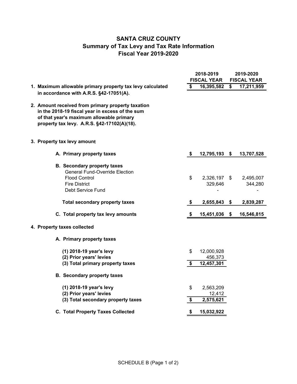## **SANTA CRUZ COUNTY Summary of Tax Levy and Tax Rate Information Fiscal Year 2019-2020**

|                                                                                                                                                                                                 |          | 2018-2019<br><b>FISCAL YEAR</b>     |                         | 2019-2020<br><b>FISCAL YEAR</b> |
|-------------------------------------------------------------------------------------------------------------------------------------------------------------------------------------------------|----------|-------------------------------------|-------------------------|---------------------------------|
| 1. Maximum allowable primary property tax levy calculated                                                                                                                                       | \$       | 16,395,582                          | $\overline{\mathbf{s}}$ | 17,211,959                      |
| in accordance with A.R.S. §42-17051(A).                                                                                                                                                         |          |                                     |                         |                                 |
| 2. Amount received from primary property taxation<br>in the 2018-19 fiscal year in excess of the sum<br>of that year's maximum allowable primary<br>property tax levy. A.R.S. §42-17102(A)(18). |          |                                     |                         |                                 |
| 3. Property tax levy amount                                                                                                                                                                     |          |                                     |                         |                                 |
| A. Primary property taxes                                                                                                                                                                       | \$       | 12,795,193                          | - \$                    | 13,707,528                      |
| <b>B.</b> Secondary property taxes<br><b>General Fund-Override Election</b><br><b>Flood Control</b><br><b>Fire District</b><br>Debt Service Fund                                                | \$       | 2,326,197 \$<br>329,646             |                         | 2,495,007<br>344,280            |
| <b>Total secondary property taxes</b>                                                                                                                                                           | \$       | 2,655,843                           | \$                      | 2,839,287                       |
| C. Total property tax levy amounts                                                                                                                                                              | \$       | 15,451,036                          | S.                      | 16,546,815                      |
| 4. Property taxes collected                                                                                                                                                                     |          |                                     |                         |                                 |
| A. Primary property taxes                                                                                                                                                                       |          |                                     |                         |                                 |
| (1) 2018-19 year's levy<br>(2) Prior years' levies<br>(3) Total primary property taxes                                                                                                          | \$<br>\$ | 12,000,928<br>456,373<br>12,457,301 |                         |                                 |
| <b>B.</b> Secondary property taxes                                                                                                                                                              |          |                                     |                         |                                 |
| (1) 2018-19 year's levy<br>(2) Prior years' levies<br>(3) Total secondary property taxes                                                                                                        | \$<br>\$ | 2,563,209<br>12,412<br>2,575,621    |                         |                                 |
| <b>C. Total Property Taxes Collected</b>                                                                                                                                                        | \$       | 15,032,922                          |                         |                                 |
|                                                                                                                                                                                                 |          |                                     |                         |                                 |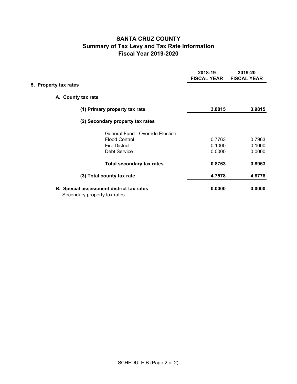## **SANTA CRUZ COUNTY Summary of Tax Levy and Tax Rate Information Fiscal Year 2019-2020**

|                       |                                                                                 | 2018-19<br><b>FISCAL YEAR</b> | 2019-20<br><b>FISCAL YEAR</b> |
|-----------------------|---------------------------------------------------------------------------------|-------------------------------|-------------------------------|
| 5. Property tax rates |                                                                                 |                               |                               |
|                       | A. County tax rate                                                              |                               |                               |
|                       | (1) Primary property tax rate                                                   | 3.8815                        | 3.9815                        |
|                       | (2) Secondary property tax rates                                                |                               |                               |
|                       | <b>General Fund - Override Election</b>                                         |                               |                               |
|                       | <b>Flood Control</b>                                                            | 0.7763                        | 0.7963                        |
|                       | <b>Fire District</b>                                                            | 0.1000                        | 0.1000                        |
|                       | <b>Debt Service</b>                                                             | 0.0000                        | 0.0000                        |
|                       | <b>Total secondary tax rates</b>                                                | 0.8763                        | 0.8963                        |
|                       | (3) Total county tax rate                                                       | 4.7578                        | 4.8778                        |
|                       | <b>B.</b> Special assessment district tax rates<br>Secondary property tax rates | 0.0000                        | 0.0000                        |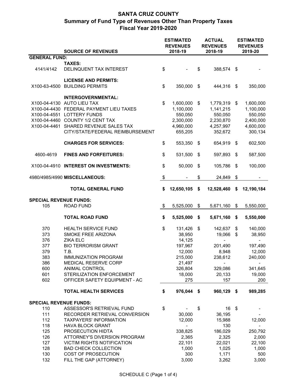|                               | <b>SOURCE OF REVENUES</b>                                                                                                                                                                                                                         |               | <b>ESTIMATED</b><br><b>REVENUES</b><br>2018-19                         |                           | <b>ACTUAL</b><br><b>REVENUES</b><br>2018-19                            |     | <b>ESTIMATED</b><br><b>REVENUES</b><br>2019-20                         |
|-------------------------------|---------------------------------------------------------------------------------------------------------------------------------------------------------------------------------------------------------------------------------------------------|---------------|------------------------------------------------------------------------|---------------------------|------------------------------------------------------------------------|-----|------------------------------------------------------------------------|
| <b>GENERAL FUND:</b>          |                                                                                                                                                                                                                                                   |               |                                                                        |                           |                                                                        |     |                                                                        |
|                               | <b>TAXES:</b>                                                                                                                                                                                                                                     |               |                                                                        |                           |                                                                        |     |                                                                        |
| 4141/4142                     | DELINQUENT TAX INTEREST                                                                                                                                                                                                                           | \$            |                                                                        | \$                        | 388,574                                                                | \$  |                                                                        |
|                               | <b>LICENSE AND PERMITS:</b><br>X100-63-4500 BUILDING PERMITS                                                                                                                                                                                      | \$            | 350,000                                                                | \$                        | 444,316                                                                | \$  | 350,000                                                                |
|                               | <b>INTERGOVERNMENTAL:</b><br>X100-04-4130 AUTO LIEU TAX<br>X100-04-4430 FEDERAL PAYMENT LIEU TAXES<br>X100-04-4551 LOTTERY FUNDS<br>X100-04-4460 COUNTY 1/2 CENT TAX<br>X100-04-4461 SHARED REVENUE SALES TAX<br>CITY/STATE/FEDERAL REIMBURSEMENT | \$            | 1,600,000<br>1,100,000<br>550,050<br>2,300,000<br>4,960,000<br>655,205 | \$                        | 1,779,319<br>1,141,215<br>550,050<br>2,230,870<br>4,257,997<br>352,672 | \$  | 1,600,000<br>1,100,000<br>550,050<br>2,400,000<br>4,600,000<br>300,134 |
|                               | <b>CHARGES FOR SERVICES:</b>                                                                                                                                                                                                                      | \$            | 553,350                                                                | \$                        | 654,919                                                                | \$  | 602,500                                                                |
| 4600-4619                     | <b>FINES AND FORFEITURES:</b>                                                                                                                                                                                                                     | \$            | 531,500                                                                | \$                        | 597,893                                                                | \$  | 587,500                                                                |
|                               | X100-04-4910 INTEREST ON INVESTMENTS:                                                                                                                                                                                                             | \$            | 50,000                                                                 | \$                        | 105,786                                                                | \$  | 100,000                                                                |
|                               | 4980/4985/4990 MISCELLANEOUS:                                                                                                                                                                                                                     | $\,$          |                                                                        | \$                        | 24,849                                                                 | \$  |                                                                        |
|                               | <b>TOTAL GENERAL FUND</b>                                                                                                                                                                                                                         | \$            | 12,650,105                                                             | \$                        | 12,528,460                                                             | \$  | 12,190,184                                                             |
| <b>SPECIAL REVENUE FUNDS:</b> |                                                                                                                                                                                                                                                   |               |                                                                        |                           |                                                                        |     |                                                                        |
| 105                           | <b>ROAD FUND</b>                                                                                                                                                                                                                                  | $\sqrt[6]{3}$ | 5,525,000                                                              | $\boldsymbol{\mathsf{S}}$ | 5,671,160                                                              | \$  | 5,550,000                                                              |
|                               |                                                                                                                                                                                                                                                   |               |                                                                        |                           |                                                                        |     |                                                                        |
|                               | <b>TOTAL ROAD FUND</b>                                                                                                                                                                                                                            | \$            | 5,525,000                                                              | \$                        | 5,671,160                                                              | \$  | 5,550,000                                                              |
| 370                           | <b>HEALTH SERVICE FUND</b>                                                                                                                                                                                                                        | \$            | 131,426                                                                | $\boldsymbol{\mathsf{S}}$ | 142,637                                                                | \$  | 140,000                                                                |
| 373                           | SMOKE FREE ARIZONA                                                                                                                                                                                                                                |               | 38,950                                                                 |                           | 19,066                                                                 | \$  | 38,950                                                                 |
| 376                           | <b>ZIKA ELC</b>                                                                                                                                                                                                                                   |               | 14,125                                                                 |                           | $\blacksquare$                                                         |     |                                                                        |
| 377                           | <b>BIO TERRORISM GRANT</b>                                                                                                                                                                                                                        |               | 197,967                                                                |                           | 201,490                                                                |     | 197,490                                                                |
| 379                           | T.B.                                                                                                                                                                                                                                              |               | 12,000                                                                 |                           | 8,948                                                                  |     | 12,000                                                                 |
| 383                           | <b>IMMUNIZATION PROGRAM</b>                                                                                                                                                                                                                       |               | 215,000                                                                |                           | 238,612                                                                |     | 240,000                                                                |
| 386                           | MEDICAL RESERVE CORP                                                                                                                                                                                                                              |               | 21,497                                                                 |                           |                                                                        |     |                                                                        |
| 600                           | <b>ANIMAL CONTROL</b>                                                                                                                                                                                                                             |               | 326,804                                                                |                           | 329,086                                                                |     | 341,645                                                                |
| 601                           | STERILIZATION ENFORCEMENT                                                                                                                                                                                                                         |               | 18,000                                                                 |                           | 20,133                                                                 |     | 19,000                                                                 |
| 602                           | OFFICER SAFETY EQUIPMENT - AC                                                                                                                                                                                                                     |               | 275                                                                    |                           | 157                                                                    |     | 200                                                                    |
|                               |                                                                                                                                                                                                                                                   |               |                                                                        |                           |                                                                        |     |                                                                        |
|                               | <b>TOTAL HEALTH SERVICES</b>                                                                                                                                                                                                                      | \$            | 976,044                                                                | \$                        | 960,129                                                                | -\$ | 989,285                                                                |
| <b>SPECIAL REVENUE FUNDS:</b> |                                                                                                                                                                                                                                                   |               |                                                                        |                           |                                                                        |     |                                                                        |
| 110                           | ASSESSOR'S RETRIEVAL FUND                                                                                                                                                                                                                         | \$            |                                                                        | \$                        | 16                                                                     | \$  |                                                                        |
| 111                           | RECORDER RETRIEVAL CONVERSION                                                                                                                                                                                                                     |               | 30,000                                                                 |                           | 36,195                                                                 |     |                                                                        |
| 112                           | <b>TAXPAYERS' INFORMATION</b>                                                                                                                                                                                                                     |               | 12,000                                                                 |                           | 15,988                                                                 |     | 12,000                                                                 |
| 118                           | <b>HAVA BLOCK GRANT</b>                                                                                                                                                                                                                           |               |                                                                        |                           | 130                                                                    |     |                                                                        |
| 125                           | PROSECUTION HIDTA                                                                                                                                                                                                                                 |               | 338,825                                                                |                           | 186,029                                                                |     | 250,792                                                                |
| 126                           | ATTORNEY'S DIVERSION PROGRAM                                                                                                                                                                                                                      |               | 2,365                                                                  |                           | 2,325                                                                  |     | 2,000                                                                  |
| 127                           | <b>VICTIM RIGHTS NOTIFICATION</b>                                                                                                                                                                                                                 |               | 22,101                                                                 |                           | 22,021                                                                 |     | 22,100                                                                 |
| 128                           | <b>BAD CHECK COLLECTION</b>                                                                                                                                                                                                                       |               | 1,000                                                                  |                           | 1,025                                                                  |     | 1,000                                                                  |
| 130                           | COST OF PROSECUTION                                                                                                                                                                                                                               |               | 300                                                                    |                           | 1,171                                                                  |     | 500                                                                    |
| 132                           | FILL THE GAP (ATTORNEY)                                                                                                                                                                                                                           |               | 3,000                                                                  |                           | 3,262                                                                  |     | 3,000                                                                  |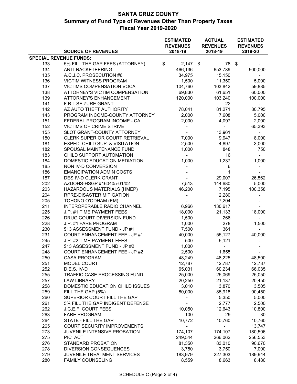|                               |                                                           | <b>ESTIMATED</b><br><b>REVENUES</b> | <b>ACTUAL</b><br><b>REVENUES</b> | <b>ESTIMATED</b><br><b>REVENUES</b> |
|-------------------------------|-----------------------------------------------------------|-------------------------------------|----------------------------------|-------------------------------------|
|                               | <b>SOURCE OF REVENUES</b>                                 | 2018-19                             | 2018-19                          | 2019-20                             |
| <b>SPECIAL REVENUE FUNDS:</b> |                                                           |                                     |                                  |                                     |
| 133                           | 5% FILL THE GAP FEES (ATTORNEY)                           | \$<br>$2,147$ \$                    | 78                               | \$                                  |
| 134                           | ANTI-RACKETEERING                                         | 466,136                             | 653,789                          | 500,000                             |
| 135                           | A.C.J.C. PROSECUTION #6                                   | 34,975                              | 15,150                           |                                     |
| 136                           | <b>VICTIM WITNESS PROGRAM</b>                             | 1,500                               | 11,350                           | 5,000                               |
| 137                           | VICTIMS COMPENSATION VOCA                                 | 104,760                             | 103,842                          | 59,885                              |
| 138                           | ATTORNEY'S VICTIM COMPENSATION                            | 69,830                              | 61,651                           | 60,000                              |
| 139                           | <b>ATTORNEY'S ENHANCEMENT</b>                             | 120,000                             | 103,240                          | 100,000                             |
| 141                           | F.B.I. SEIZURE GRANT                                      | -                                   | 22                               | $\overline{\phantom{0}}$            |
| 142                           | AZ AUTO THEFT AUTHORITY                                   | 78,041                              | 81,271                           | 80,795                              |
| 143                           | PROGRAM INCOME-COUNTY ATTORNEY                            | 2,000                               | 7,608                            | 5,000                               |
| 151                           | FEDERAL PROGRAM INCOME - CA                               | 2,000                               | 4,097                            | 2,000                               |
| 152                           | <b>VICTIMS OF CRIME STRIVE</b>                            | $\blacksquare$                      | $\overline{\phantom{a}}$         | 65,393                              |
| 155                           | SLOT GRANT-COUNTY ATTORNEY                                |                                     | 13,961                           |                                     |
| 180                           | CLERK SUPERIOR COURT RETRIEVAL                            | 7,000                               | 9,947                            | 8,000                               |
| 181                           | EXPED. CHILD SUP. & VISITATION                            | 2,500                               | 4,897                            | 3,000                               |
| 182                           | SPOUSAL MAINTENANCE FUND                                  | 1,000                               | 848                              | 750                                 |
| 183                           | CHILD SUPPORT AUTOMATION                                  | $\overline{\phantom{a}}$            | 16                               |                                     |
| 184                           | DOMESTIC EDUCATION MEDIATION                              | 1,000                               | 1,237                            | 1,000                               |
| 185                           | NON IV-D CONVERSION                                       |                                     | 6                                |                                     |
| 186                           | <b>EMANCIPATION ADMIN COSTS</b>                           |                                     | $\mathbf{1}$                     |                                     |
| 187                           | DES IV-D CLERK GRANT                                      | $\blacksquare$                      | 29,007                           | 26,562                              |
| 202                           | AZDOHS-HSGP #160405-01/02                                 | 7,513                               | 144,680                          | 5,000                               |
| 203                           | HAZARDOUS MATERIALS (HMEP)                                | 46,200                              | 7,195                            | 100,358                             |
| 204                           | RPRE-DISASTER MITIGATION                                  |                                     | 2,280                            | $\overline{\phantom{0}}$            |
| 205                           | TOHONO O'ODHAM (EM)                                       |                                     | 7,204                            |                                     |
| 211                           | INTEROPERABLE RADIO CHANNEL                               | 6,966                               | 130,617                          |                                     |
| 225                           | J.P. #1 TIME PAYMENT FEES                                 | 18,000                              | 21,133                           | 18,000                              |
| 226                           | DRUG COURT DIVERSION FUND                                 | 1,500                               | 266                              |                                     |
| 228                           | J.P. #1 FARE PROGRAM                                      | 1,000                               | 278                              | 1,500                               |
| 230                           | \$13 ASSESSMENT FUND - JP #1                              | 7,500                               | 361                              |                                     |
| 231<br>245                    | COURT ENHANCEMENT FEE - JP #1                             | 40,000<br>500                       | 55,127<br>5,121                  | 40,000                              |
| 247                           | J.P. #2 TIME PAYMENT FEES<br>\$13 ASSESSMENT FUND - JP #2 | 1,000                               |                                  |                                     |
| 248                           | <b>COURT ENHANCEMENT FEE - JP #2</b>                      | 2,500                               |                                  |                                     |
| 250                           | <b>CASA PROGRAM</b>                                       | 48,249                              | 1,655<br>48,225                  | 48,500                              |
| 251                           | MODEL COURT                                               | 12,787                              | 12,787                           | 12,787                              |
| 252                           | D.E.S. IV-D                                               | 65,031                              | 60,234                           | 66,035                              |
| 255                           | TRAFFIC CASE PROCESSING FUND                              | 25,000                              | 25,069                           | 25,050                              |
| 257                           | <b>LAW LIBRARY</b>                                        | 20,250                              | 21,137                           | 20,450                              |
| 258                           | DOMESTIC EDUCATION CHILD ISSUES                           | 3,010                               | 3,870                            | 3,505                               |
| 259                           | FILL THE GAP (5%)                                         | 80,000                              | 85,918                           | 90,450                              |
| 260                           | SUPERIOR COURT FILL THE GAP                               |                                     | 5,350                            | 5,000                               |
| 261                           | 5% FILL THE GAP INDIGENT DEFENSE                          |                                     | 2,777                            | 2,500                               |
| 262                           | J.C.E.F. COURT FEES                                       | 10,050                              | 12,643                           | 10,800                              |
| 263                           | <b>FARE PROGRAM</b>                                       | 100                                 | 29                               | 30                                  |
| 264                           | STATE - FILL THE GAP                                      | 10,772                              | 10,760                           | 10,760                              |
| 265                           | COURT SECURITY IMPROVEMENTS                               |                                     |                                  | 13,747                              |
| 273                           | JUVENILE INTENSIVE PROBATION                              | 174,107                             | 174,107                          | 180,506                             |
| 275                           | PIC ACT                                                   | 249,544                             | 266,062                          | 256,553                             |
| 276                           | STANDARD PROBATION                                        | 81,350                              | 83,010                           | 90,670                              |
| 278                           | DIVERSION CONSEQUENCES                                    | 3,750                               | 3,750                            | 7,000                               |
| 279                           | JUVENILE TREATMENT SERVICES                               | 183,979                             | 227,303                          | 189,944                             |
| 280                           | FAMILY COUNSELING                                         | 8,559                               | 8,663                            | 8,480                               |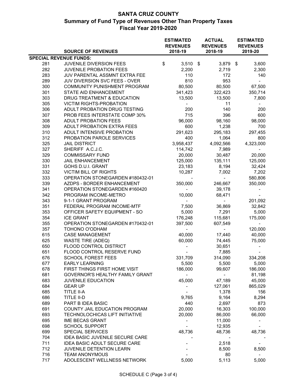|                               |                                        | <b>ESTIMATED</b>           | <b>ACTUAL</b>              | <b>ESTIMATED</b>           |
|-------------------------------|----------------------------------------|----------------------------|----------------------------|----------------------------|
|                               | <b>SOURCE OF REVENUES</b>              | <b>REVENUES</b><br>2018-19 | <b>REVENUES</b><br>2018-19 | <b>REVENUES</b><br>2019-20 |
| <b>SPECIAL REVENUE FUNDS:</b> |                                        |                            |                            |                            |
| 281                           | JUVENILE DIVERSION FEES                | \$<br>3,510                | 3,879 \$<br>- \$           | 3,600                      |
| 282                           | JUVENILE PROBATION FEES                | 2,200                      | 2,719                      | 2,300                      |
| 283                           | JUV PARENTAL ASSMNT EXTRA FEE          | 110                        | 172                        | 140                        |
| 289                           | JUV DIVERSION SVC FEES - OVER          | 810                        | 953                        | $\overline{\phantom{a}}$   |
| 300                           | COMMUNITY PUNISHMENT PROGRAM           | 80,500                     | 80,500                     | 67,500                     |
| 301                           | STATE AID ENHANCEMENT                  | 341,423                    | 322,423                    | 350,714                    |
| 303                           | DRUG TREATMENT & EDUCATION             | 13,500                     | 13,500                     | 7,800                      |
| 305                           | <b>VICTIM RIGHTS-PROBATION</b>         |                            | 11                         |                            |
| 306                           | ADULT PROBATION DRUG TESTING           | 200                        | 140                        | 200                        |
| 307                           | PROB FEES INTERSTATE COMP 30%          | 715                        | 396                        | 600                        |
| 308                           | <b>ADULT PROBATION FEES</b>            | 96,000                     | 98,160                     | 98,000                     |
| 309                           | ADULT PROBATION EXTRA FEES             | 600                        | 1,238                      | 700                        |
| 310                           | ADULT INTENSIVE PROBATION              | 291,623                    | 295,183                    | 297,455                    |
| 312                           | PROBATION PAROLE SERVICES              | 400                        | 1,064                      | 800                        |
| 325                           | <b>JAIL DISTRICT</b>                   | 3,958,437                  | 4,092,566                  | 4,323,000                  |
| 327                           | SHERIFF A.C.J.C.                       | 114,742                    | 7,989                      |                            |
| 329                           | <b>COMMISSARY FUND</b>                 | 20,000                     | 30,487                     | 20,000                     |
| 330                           | <b>JAIL ENHANCEMENT</b>                | 125,000                    | 135,111                    | 125,000                    |
| 331                           | GOHS D.U.I. GRANT                      | 23,183                     | 8,194                      | 32,424                     |
| 332                           | VICTIM BILL OF RIGHTS                  | 10,287                     | 7,002                      | 7,202                      |
| 333                           | OPERATION STONEGARDEN #180432-01       |                            |                            | 580,806                    |
| 339                           | AZDPS - BORDER ENHANCEMENT             | 350,000                    | 246,667                    | 350,000                    |
| 341                           | OPERATION STONEGARDEN #160420          |                            | 39,178                     |                            |
| 342                           | PROGRAM INCOME-METRO                   | 10,000                     | 68,471                     |                            |
| 343                           | 9-1-1 GRANT PROGRAM                    |                            | $\blacksquare$             | 201,092                    |
| 351                           | FEDERAL PROGRAM INCOME-MTF             | 7,500                      | 36,869                     | 32,842                     |
| 353                           | OFFICER SAFETY EQUIPMENT - SO          | 5,000                      | 7,291                      | 5,000                      |
| 354                           | <b>ICE GRANT</b>                       | 176,248                    | 115,681                    | 175,000                    |
| 355                           | OPERATION STONEGARDEN #170432-01       | 397,500                    | 607,549                    | ۰.                         |
| 357                           | TOHONO O'ODHAM                         |                            | $\sim$                     | 120,000                    |
| 615                           | <b>CASE MANAGEMENT</b>                 | 40,000                     | 17,440                     | 40,000                     |
| 625                           | <b>WASTE TIRE (ADEQ)</b>               | 60,000                     | 74,445                     | 75,000                     |
| 650                           | FLOOD CONTROL DISTRICT                 |                            | 30,651                     |                            |
| 651                           | FLOOD CONTROL RESERVE FUND             |                            | 7,885                      |                            |
| 676                           | <b>SCHOOL FOREST FEES</b>              | 331,709                    | 314,090                    | 334,208                    |
| 677                           | <b>EARLY LEARNING</b>                  | 5,500                      | 5,500                      | 5,000                      |
| 678                           | FIRST THINGS FIRST HOME VISIT          | 186,000                    | 99,607                     | 186,000                    |
| 681                           | GOVERNOR'S HEALTHY FAMILY GRANT        |                            |                            | 81,198                     |
| 683                           | JUVENILE EDUCATION                     | 45,000                     | 47,189                     | 45,000                     |
| 684                           | <b>GEAR UP</b>                         |                            | 127,061                    | 865,029                    |
| 685                           | TITLE II-A                             |                            | 1,378                      | 156                        |
| 686                           | TITLE II-D                             | 9,765                      | 9,164                      | 8,294                      |
| 689                           | PART B IDEA BASIC                      | 440                        | 2,697                      | 873                        |
| 691                           | COUNTY JAIL EDUCATION PROGRAM          | 20,000                     | 16,303                     | 100,000                    |
| 693                           | TECHNOLOCHICAS LIFT INITIATIVE         | 20,000                     | 86,000                     | 66,000                     |
| 695                           | <b>IME BECAS GRANT</b>                 |                            | 11,000                     |                            |
| 698                           | <b>SCHOOL SUPPORT</b>                  |                            | 12,935                     |                            |
| 699                           | <b>SPECIAL SERVICES</b>                | 48,736                     | 48,736                     | 48,736                     |
| 704                           | <b>IDEA BASIC JUVENILE SECURE CARE</b> |                            |                            |                            |
| 711                           | <b>IDEA BASIC ADULT SECURE CARE</b>    |                            | 2,518                      |                            |
| 712                           | JUVENILE DETENTION LEARN               |                            | 8,500                      | 8,500                      |
| 716                           | <b>TEAM ANONYMOUS</b>                  |                            | 80                         |                            |
| 717                           | ADOLESCENT WELLNESS NETWORK            | 5,000                      | 5,113                      | 5,000                      |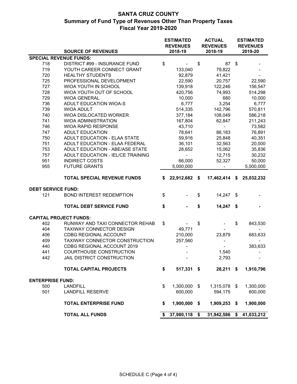|                           |                                    |    | <b>ESTIMATED</b><br><b>REVENUES</b> | <b>ACTUAL</b><br><b>REVENUES</b> | <b>ESTIMATED</b><br><b>REVENUES</b> |  |
|---------------------------|------------------------------------|----|-------------------------------------|----------------------------------|-------------------------------------|--|
|                           | <b>SOURCE OF REVENUES</b>          |    | 2018-19                             | 2018-19                          | 2019-20                             |  |
|                           | <b>SPECIAL REVENUE FUNDS:</b>      |    |                                     |                                  |                                     |  |
| 718                       | DISTRICT #99 - INSURANCE FUND      | \$ |                                     | \$<br>87                         | \$                                  |  |
| 719                       | YOUTH CAREER CONNECT GRANT         |    | 133,040                             | 79,822                           |                                     |  |
| 720                       | <b>HEALTHY STUDENTS</b>            |    | 92,879                              | 41,421                           |                                     |  |
| 725                       | PROFESSIONAL DEVELOPMENT           |    | 22,590                              | 20,757                           | 22,590                              |  |
| 727                       | WIOA YOUTH IN SCHOOL               |    | 139,918                             | 122,246                          | 156,547                             |  |
| 728                       | WIOA YOUTH OUT OF SCHOOL           |    | 420,756                             | 74,993                           | 514,298                             |  |
| 729                       | <b>WIOA GENERAL</b>                |    | 10,000                              | 680                              | 10,000                              |  |
| 736                       | ADULT EDUCATION WIOA-S             |    | 6,777                               | 3,254                            | 6,777                               |  |
| 739                       | <b>WIOA ADULT</b>                  |    | 514,335                             | 142,796                          | 570,811                             |  |
| 740                       | WIOA DISLOCATED WORKER             |    | 377,184                             | 108,049                          | 586,218                             |  |
| 741                       | <b>WIOA ADMINISTRATION</b>         |    | 167,804                             | 62,847                           | 211,243                             |  |
| 746                       | WIOA RAPID RESPONSE                |    | 43,710                              | $\blacksquare$                   | 73,582                              |  |
| 747                       | <b>ADULT EDUCATION</b>             |    | 78,641                              | 86,183                           | 76,891                              |  |
| 750                       | ADULT EDUCATION - ELAA STATE       |    | 59,916                              | 25,848                           | 40,351                              |  |
| 751                       | ADULT EDUCATION - ELAA FEDERAL     |    | 36,101                              | 32,563                           | 20,000                              |  |
| 753                       | ADULT EDUCATION - ABE/ASE STATE    |    | 28,652                              | 15,062                           | 35,836                              |  |
| 757                       | ADULT EDUCATION - IEL/CE TRAINING  |    | $\blacksquare$                      | 12,715                           | 30,232                              |  |
| 951                       | <b>INDIRECT COSTS</b>              |    | 66,000                              | 52,327                           | 50,000                              |  |
| 955                       | <b>FUTURE GRANTS</b>               |    | 5,000,000                           |                                  | 5,000,000                           |  |
|                           | <b>TOTAL SPECIAL REVENUE FUNDS</b> | S. | 22,912,682                          | \$<br>17,462,414 \$              | 25,032,232                          |  |
|                           |                                    |    |                                     |                                  |                                     |  |
| <b>DEBT SERVICE FUND:</b> |                                    |    |                                     |                                  |                                     |  |
| 121                       | <b>BOND INTEREST REDEMPTION</b>    | \$ |                                     | \$<br>14,247 \$                  |                                     |  |
|                           | <b>TOTAL DEBT SERVICE FUND</b>     | \$ |                                     | \$<br>$14,247$ \$                |                                     |  |
|                           | <b>CAPITAL PROJECT FUNDS:</b>      |    |                                     |                                  |                                     |  |
| 402                       | RUNWAY AND TAXI CONNECTOR REHAB    | \$ |                                     | \$                               | \$<br>843,530                       |  |
| 404                       | TAXIWAY CONNECTOR DESIGN           |    | 49,771                              |                                  |                                     |  |
| 406                       | <b>CDBG REGIONAL ACCOUNT</b>       |    | 210,000                             | 23,879                           | 683,633                             |  |
| 409                       | TAXIWAY CONNECTOR CONSTRUCTION     |    | 257,560                             |                                  |                                     |  |
| 440                       | CDBG REGIONAL ACCOUNT 2019         |    |                                     |                                  | 383,633                             |  |
| 441                       | COURTHOUSE CONSTRUCTION            |    |                                     | 1,540                            | -                                   |  |
| 442                       | JAIL DISTRICT CONSTRUCTION         |    | $\overline{\phantom{a}}$            | 2,793                            |                                     |  |
|                           | <b>TOTAL CAPITAL PROJECTS</b>      | \$ | 517,331 \$                          | $28,211$ \$                      | 1,910,796                           |  |
| <b>ENTERPRISE FUND:</b>   |                                    |    |                                     |                                  |                                     |  |
| 500                       | <b>LANDFILL</b>                    | \$ | 1,300,000 \$                        | 1,315,078 \$                     | 1,300,000                           |  |
| 501                       | <b>LANDFILL RESERVE</b>            |    | 600,000                             | 594,175                          | 600,000                             |  |
|                           | <b>TOTAL ENTERPRISE FUND</b>       | \$ | 1,900,000 \$                        | 1,909,253 \$                     | 1,900,000                           |  |
|                           | <b>TOTAL ALL FUNDS</b>             | S. | 37,980,118 \$                       | 31,942,586 \$                    | 41,033,212                          |  |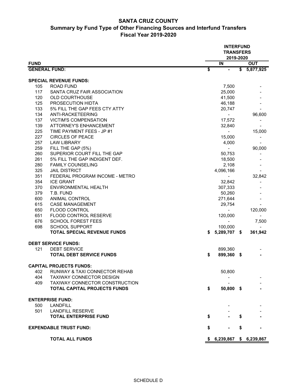#### **SANTA CRUZ COUNTY Summary by Fund Type of Other Financing Sources and Interfund Transfers Fiscal Year 2019-2020**

|                      |                                    | <b>INTERFUND</b><br><b>TRANSFERS</b><br>2019-2020 |                          |                 |             |  |  |  |  |
|----------------------|------------------------------------|---------------------------------------------------|--------------------------|-----------------|-------------|--|--|--|--|
| <b>FUND</b>          |                                    |                                                   | IN                       |                 | <b>OUT</b>  |  |  |  |  |
| <b>GENERAL FUND:</b> |                                    | \$                                                | $\blacksquare$           | $\overline{\$}$ | 5,877,925   |  |  |  |  |
|                      | <b>SPECIAL REVENUE FUNDS:</b>      |                                                   |                          |                 |             |  |  |  |  |
| 105                  | <b>ROAD FUND</b>                   |                                                   | 7,500                    |                 |             |  |  |  |  |
| 117                  | SANTA CRUZ FAIR ASSOCIATION        |                                                   | 25,000                   |                 |             |  |  |  |  |
| 120                  | <b>OLD COURTHOUSE</b>              |                                                   | 41,500                   |                 |             |  |  |  |  |
| 125                  | PROSECUTION HIDTA                  |                                                   | 46,188                   |                 |             |  |  |  |  |
| 133                  | 5% FILL THE GAP FEES CTY ATTY      |                                                   | 20,747                   |                 |             |  |  |  |  |
| 134                  | ANTI-RACKETEERING                  |                                                   | $\overline{\phantom{a}}$ |                 | 96,600      |  |  |  |  |
| 137                  | <b>VICTIM'S COMPENSATION</b>       |                                                   | 17,572                   |                 |             |  |  |  |  |
| 139                  | ATTORNEY'S ENHANCEMENT             |                                                   | 32,840                   |                 |             |  |  |  |  |
| 225                  | TIME PAYMENT FEES - JP #1          |                                                   |                          |                 | 15,000      |  |  |  |  |
| 227                  | <b>CIRCLES OF PEACE</b>            |                                                   | 15,000                   |                 |             |  |  |  |  |
| 257                  | <b>LAW LIBRARY</b>                 |                                                   | 4,000                    |                 |             |  |  |  |  |
| 259                  | FILL THE GAP (5%)                  |                                                   |                          |                 | 90,000      |  |  |  |  |
| 260                  | SUPERIOR COURT FILL THE GAP        |                                                   | 50,753                   |                 |             |  |  |  |  |
| 261                  | 5% FILL THE GAP INDIGENT DEF.      |                                                   | 18,500                   |                 |             |  |  |  |  |
| 280                  | <b>FAMILY COUNSELING</b>           |                                                   | 2,108                    |                 |             |  |  |  |  |
| 325                  | <b>JAIL DISTRICT</b>               |                                                   | 4,096,166                |                 |             |  |  |  |  |
| 351                  | FEDERAL PROGRAM INCOME - METRO     |                                                   |                          |                 | 32,842      |  |  |  |  |
| 354                  | <b>ICE GRANT</b>                   |                                                   | 32,842                   |                 |             |  |  |  |  |
| 370                  | ENVIRONMENTAL HEALTH               |                                                   | 307,333                  |                 |             |  |  |  |  |
| 379                  | T.B. FUND                          |                                                   | 50,260                   |                 |             |  |  |  |  |
| 600                  | ANIMAL CONTROL                     |                                                   | 271,644                  |                 |             |  |  |  |  |
| 615                  | <b>CASE MANAGEMENT</b>             |                                                   | 29,754                   |                 |             |  |  |  |  |
| 650                  | <b>FLOOD CONTROL</b>               |                                                   |                          |                 | 120,000     |  |  |  |  |
| 651                  | FLOOD CONTROL RESERVE              |                                                   | 120,000                  |                 |             |  |  |  |  |
| 676                  | <b>SCHOOL FOREST FEES</b>          |                                                   |                          |                 | 7,500       |  |  |  |  |
| 698                  | <b>SCHOOL SUPPORT</b>              |                                                   | 100,000                  |                 |             |  |  |  |  |
|                      | <b>TOTAL SPECIAL REVENUE FUNDS</b> | \$                                                | 5,289,707 \$             |                 | 361,942     |  |  |  |  |
|                      | <b>DEBT SERVICE FUNDS:</b>         |                                                   |                          |                 |             |  |  |  |  |
| 121                  | <b>DEBT SERVICE</b>                |                                                   | 899,360                  |                 |             |  |  |  |  |
|                      | <b>TOTAL DEBT SERVICE FUNDS</b>    | \$                                                | 899,360 \$               |                 |             |  |  |  |  |
|                      | <b>CAPITAL PROJECTS FUNDS:</b>     |                                                   |                          |                 |             |  |  |  |  |
| 402                  | RUNWAY & TAXI CONNECTOR REHAB      |                                                   | 50,800                   |                 |             |  |  |  |  |
| 404                  | <b>TAXIWAY CONNECTOR DESIGN</b>    |                                                   |                          |                 |             |  |  |  |  |
| 409                  | TAXIWAY CONNECTOR CONSTRUCTION     |                                                   |                          |                 |             |  |  |  |  |
|                      | TOTAL CAPITAL PROJECTS FUNDS       | \$                                                | 50,800 \$                |                 |             |  |  |  |  |
|                      | <b>ENTERPRISE FUND:</b>            |                                                   |                          |                 |             |  |  |  |  |
| 500                  | <b>LANDFILL</b>                    |                                                   |                          |                 |             |  |  |  |  |
| 501                  | <b>LANDFILL RESERVE</b>            |                                                   |                          |                 |             |  |  |  |  |
|                      | <b>TOTAL ENTERPRISE FUND</b>       | \$                                                |                          | S               |             |  |  |  |  |
|                      | <b>EXPENDABLE TRUST FUND:</b>      | \$                                                |                          | \$              |             |  |  |  |  |
|                      | <b>TOTAL ALL FUNDS</b>             |                                                   | \$6,239,867              |                 | \$6,239,867 |  |  |  |  |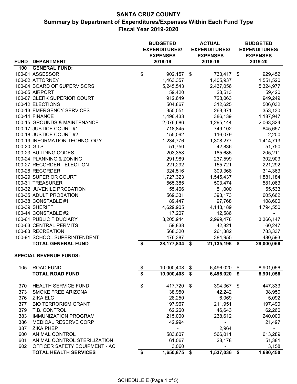## **SANTA CRUZ COUNTY Summary by Department of Expenditures/Expenses Within Each Fund Type Fiscal Year 2019-2020**

| <b>BUDGETED</b><br><b>EXPENDITURES/</b> |                               |                                      |                 |                         | <b>ACTUAL</b><br><b>EXPENDITURES/</b> | <b>BUDGETED</b><br><b>EXPENDITURES/</b> |
|-----------------------------------------|-------------------------------|--------------------------------------|-----------------|-------------------------|---------------------------------------|-----------------------------------------|
|                                         |                               |                                      | <b>EXPENSES</b> |                         | <b>EXPENSES</b>                       | <b>EXPENSES</b>                         |
|                                         | FUND DEPARTMENT               |                                      | 2018-19         |                         | 2018-19                               | 2019-20                                 |
| 100                                     | <b>GENERAL FUND:</b>          |                                      |                 |                         |                                       |                                         |
|                                         | 100-01 ASSESSOR               | \$                                   | 902,157 \$      |                         | 733,417 \$                            | 929,452                                 |
|                                         | 100-02 ATTORNEY               |                                      | 1,463,357       |                         | 1,405,937                             | 1,551,520                               |
|                                         | 100-04 BOARD OF SUPERVISORS   |                                      | 5,245,543       |                         | 2,437,056                             | 5,324,977                               |
|                                         | <b>100-05 AIRPORT</b>         |                                      | 59,420          |                         | 28,513                                | 59,420                                  |
|                                         | 100-07 CLERK SUPERIOR COURT   |                                      | 912,649         |                         | 728,063                               | 949,249                                 |
|                                         | 100-12 ELECTIONS              |                                      | 504,867         |                         | 312,625                               | 506,032                                 |
|                                         | 100-13 EMERGENCY SERVICES     |                                      | 350,551         |                         | 263,371                               | 353,130                                 |
|                                         | 100-14 FINANCE                |                                      | 1,496,433       |                         | 386,139                               | 1,187,947                               |
|                                         | 100-15 GROUNDS & MAINTENANCE  |                                      | 2,076,686       |                         | 1,295,144                             | 2,063,324                               |
|                                         | 100-17 JUSTICE COURT #1       |                                      | 718,845         |                         | 749,102                               | 845,657                                 |
|                                         | 100-18 JUSTICE COURT #2       |                                      | 155,092         |                         | 116,079                               | 2,200                                   |
|                                         | 100-19 INFORMATION TECHNOLOGY |                                      | 1,234,776       |                         | 1,308,277                             | 1,414,713                               |
| 100-20 G.I.S.                           |                               |                                      | 51,750          |                         | 42,836                                | 51,750                                  |
|                                         | 100-23 BUILDING CODES         |                                      | 203,358         |                         | 185,685                               | 205,211                                 |
|                                         | 100-24 PLANNING & ZONING      |                                      | 291,989         |                         | 237,599                               | 302,903                                 |
|                                         | 100-27 RECORDER - ELECTION    |                                      | 221,292         |                         | 155,721                               | 221,292                                 |
|                                         | 100-28 RECORDER               |                                      | 324,516         |                         | 309,368                               | 314,363                                 |
|                                         | 100-29 SUPERIOR COURT         |                                      | 1,727,323       |                         | 1,545,437                             | 1,881,184                               |
|                                         | 100-31 TREASURER              |                                      | 565,385         |                         | 503,474                               | 581,063                                 |
|                                         | 100-32 JUVENILE PROBATION     |                                      | 55,466          |                         | 51,000                                | 55,533                                  |
|                                         | 100-35 ADULT PROBATION        |                                      | 569,331         |                         | 393,173                               | 605,662                                 |
|                                         | 100-38 CONSTABLE #1           |                                      | 89,447          |                         | 97,768                                | 108,600                                 |
|                                         | 100-39 SHERIFF                |                                      | 4,629,905       |                         | 4,148,189                             | 4,794,550                               |
|                                         | 100-44 CONSTABLE #2           |                                      | 17,207          |                         | 12,586                                |                                         |
|                                         | 100-61 PUBLIC FIDUCIARY       |                                      | 3,205,944       |                         | 2,999,478                             | 3,366,147                               |
|                                         | 100-63 CENTRAL PERMITS        |                                      | 59,838          |                         | 42,821                                | 60,247                                  |
|                                         | 100-83 RECREATION             |                                      | 568,320         |                         | 261,382                               | 783,337                                 |
|                                         | 100-91 SCHOOL SUPERINTENDENT  |                                      | 476,387         |                         | 384,955                               | 480,593                                 |
|                                         | <b>TOTAL GENERAL FUND</b>     | $\overline{\mathbf{s}}$              | 28,177,834      | \$                      | 21, 135, 196                          | \$<br>29,000,056                        |
|                                         | <b>SPECIAL REVENUE FUNDS:</b> |                                      |                 |                         |                                       |                                         |
| 105                                     | <b>ROAD FUND</b>              | $\frac{1}{2}$                        | 10,000,408      | \$                      | 6,496,020                             | \$<br>8,901,056                         |
|                                         | <b>TOTAL ROAD FUND</b>        | $\overline{\boldsymbol{\mathsf{s}}}$ | 10,000,408      | $\overline{\mathbf{s}}$ | 6,496,020                             | \$<br>8,901,056                         |
|                                         |                               |                                      |                 |                         |                                       |                                         |
| 370                                     | <b>HEALTH SERVICE FUND</b>    | \$                                   | 417,720         | \$                      | 394,367                               | \$<br>447,333                           |
| 373                                     | SMOKE FREE ARIZONA            |                                      | 38,950          |                         | 42,242                                | 38,950                                  |
| 376                                     | <b>ZIKA ELC</b>               |                                      | 28,250          |                         | 6,069                                 | 5,092                                   |
| 377                                     | <b>BIO TERRORISM GRANT</b>    |                                      | 197,967         |                         | 211,951                               | 197,490                                 |
| 379                                     | T.B. CONTROL                  |                                      | 62,260          |                         | 46,643                                | 62,260                                  |
| 383                                     | <b>IMMUNIZATION PROGRAM</b>   |                                      | 215,000         |                         | 238,612                               | 240,000                                 |
| 386                                     | MEDICAL RESERVE CORP          |                                      | 42,994          |                         |                                       | 21,497                                  |
| 387                                     | <b>ZIKA PHEP</b>              |                                      |                 |                         | 2,964                                 |                                         |
| 600                                     | <b>ANIMAL CONTROL</b>         |                                      | 583,607         |                         | 566,011                               | 613,289                                 |
| 601                                     | ANIMAL CONTROL STERILIZATION  |                                      | 61,067          |                         | 28,178                                | 51,381                                  |
| 602                                     | OFFICER SAFETY EQUIPMENT - AC |                                      | 3,060           |                         |                                       | 3,158                                   |
|                                         | <b>TOTAL HEALTH SERVICES</b>  | \$                                   | 1,650,875       | \$                      | 1,537,036                             | \$<br>1,680,450                         |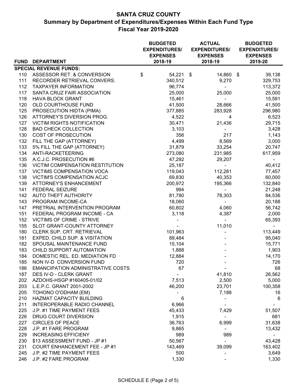## **SANTA CRUZ COUNTY Summary by Department of Expenditures/Expenses Within Each Fund Type Fiscal Year 2019-2020**

|            |                                                        | <b>BUDGETED</b><br><b>EXPENDITURES/</b><br><b>EXPENSES</b> |           |  | <b>ACTUAL</b><br><b>EXPENDITURES/</b><br><b>EXPENSES</b> | <b>BUDGETED</b><br><b>EXPENDITURES/</b><br><b>EXPENSES</b> |  |  |
|------------|--------------------------------------------------------|------------------------------------------------------------|-----------|--|----------------------------------------------------------|------------------------------------------------------------|--|--|
|            | FUND DEPARTMENT                                        |                                                            | 2018-19   |  | 2018-19                                                  | 2019-20                                                    |  |  |
|            | <b>SPECIAL REVENUE FUNDS:</b>                          |                                                            |           |  |                                                          |                                                            |  |  |
| 110        | ASSESSOR RET. & CONVERSION                             | \$                                                         | 54,221 \$ |  | 14,860 \$                                                | 39,138                                                     |  |  |
| 111        | RECORDER RETRIEVAL CONVERS.                            |                                                            | 340,512   |  | 9,270                                                    | 329,753                                                    |  |  |
| 112<br>117 | <b>TAXPAYER INFORMATION</b>                            |                                                            | 96,774    |  |                                                          | 113,372                                                    |  |  |
|            | SANTA CRUZ FAIR ASSOCIATION<br><b>HAVA BLOCK GRANT</b> |                                                            | 25,000    |  | 25,000                                                   | 25,000                                                     |  |  |
| 118        |                                                        |                                                            | 15,461    |  | $\frac{1}{2}$                                            | 15,591                                                     |  |  |
| 120        | OLD COURTHOUSE FUND                                    |                                                            | 41,500    |  | 28,666                                                   | 41,500                                                     |  |  |
| 125        | PROSECUTION HIDTA (PIMA)                               |                                                            | 377,885   |  | 283,928                                                  | 296,980                                                    |  |  |
| 126        | ATTORNEY'S DIVERSION PROG.                             |                                                            | 4,522     |  | 4                                                        | 6,523                                                      |  |  |
| 127        | <b>VICTIM RIGHTS NOTIFICATION</b>                      |                                                            | 30,471    |  | 21,436                                                   | 29,715                                                     |  |  |
| 128        | <b>BAD CHECK COLLECTION</b>                            |                                                            | 3,103     |  |                                                          | 3,428                                                      |  |  |
| 130        | <b>COST OF PROSECUTION</b>                             |                                                            | 356       |  | 217                                                      | 1,143                                                      |  |  |
| 132        | FILL THE GAP (ATTORNEY)                                |                                                            | 4,499     |  | 8,569                                                    | 3,000                                                      |  |  |
| 133        | 5% FILL THE GAP (ATTORNEY)                             |                                                            | 31,879    |  | 33,254                                                   | 20,747                                                     |  |  |
| 134        | ANTI-RACKETEERING                                      |                                                            | 273,080   |  | 231,985                                                  | 617,959                                                    |  |  |
| 135        | A.C.J.C. PROSECUTION #6                                |                                                            | 47,292    |  | 29,207                                                   |                                                            |  |  |
| 136        | VICTIM COMPENSATION RESTITUTION                        |                                                            | 25,187    |  |                                                          | 40,412                                                     |  |  |
| 137        | <b>VICTIMS COMPENSATION VOCA</b>                       |                                                            | 119,043   |  | 112,281                                                  | 77,457                                                     |  |  |
| 138        | <b>VICTIM'S COMPENSATION ACJC</b>                      |                                                            | 69,830    |  | 40,353                                                   | 60,000                                                     |  |  |
| 139        | <b>ATTORNEY'S ENHANCEMENT</b>                          |                                                            | 200,972   |  | 195,366                                                  | 132,840                                                    |  |  |
| 141        | <b>FEDERAL SEIZURE</b>                                 |                                                            | 994       |  | $\blacksquare$                                           | 21,248                                                     |  |  |
| 142        | AUTO THEFT AUTHORITY                                   |                                                            | 81,780    |  | 78,303                                                   | 84,536                                                     |  |  |
| 143        | PROGRAM INCOME-CA                                      |                                                            | 18,060    |  | $\sim$                                                   | 20,188                                                     |  |  |
| 147        | PRETRIAL INTERVENTION PROGRAM                          |                                                            | 60,802    |  | 4,060                                                    | 56,742                                                     |  |  |
| 151        | FEDERAL PROGRAM INCOME - CA                            |                                                            | 3,118     |  | 4,387                                                    | 2,000                                                      |  |  |
| 152        | <b>VICTIMS OF CRIME - STRIVE</b>                       |                                                            |           |  |                                                          | 65,393                                                     |  |  |
| 155        | SLOT GRANT-COUNTY ATTORNEY                             |                                                            |           |  | 11,010                                                   | $\overline{\phantom{0}}$                                   |  |  |
| 180        | CLERK SUP. CRT. RETRIEVAL                              |                                                            | 101,963   |  |                                                          | 113,449                                                    |  |  |
| 181        | EXPED. CHILD SUP. & VISITATION                         |                                                            | 89,484    |  |                                                          | 95,040                                                     |  |  |
| 182        | SPOUSAL MAINTENANCE FUND                               |                                                            | 15,104    |  |                                                          | 15,771                                                     |  |  |
| 183        | CHILD SUPPORT AUTOMATION                               |                                                            | 1,888     |  |                                                          | 1,903                                                      |  |  |
| 184        | DOMESTIC REL. ED. MEDIATION FD                         |                                                            | 12,884    |  |                                                          | 14,170                                                     |  |  |
| 185        | NON IV-D CONVERSION FUND                               |                                                            | 720       |  |                                                          | 726                                                        |  |  |
| 186        | <b>EMANCIPATION ADMINISTRATIVE COSTS</b>               |                                                            | 67        |  |                                                          | 68                                                         |  |  |
| 187        | DES IV-D - CLERK GRANT                                 |                                                            |           |  | 41,810                                                   | 26,562                                                     |  |  |
|            | 202 AZDOHS-HSGP #160405-01/02                          |                                                            | 7,513     |  | 2,500                                                    | 5,000                                                      |  |  |
| 203        | L.E.P.C. GRANT 2001-2002                               |                                                            | 46,200    |  | 23,701                                                   | 100,358                                                    |  |  |
| 205        | TOHONO O'ODHAM (EM)                                    |                                                            |           |  | 7,188                                                    | 16                                                         |  |  |
| 210        | HAZMAT CAPACITY BUILDING                               |                                                            | 6         |  |                                                          | 6                                                          |  |  |
| 211        | INTEROPERABLE RADIO CHANNEL                            |                                                            | 6,966     |  |                                                          |                                                            |  |  |
| 225        | J.P. #1 TIME PAYMENT FEES                              |                                                            | 45,433    |  | 7,429                                                    | 51,507                                                     |  |  |
| 226        | DRUG COURT DIVERSION                                   |                                                            | 1,915     |  |                                                          | 681                                                        |  |  |
| 227        | <b>CIRCLES OF PEACE</b>                                |                                                            | 36,763    |  | 6,999                                                    | 31,638                                                     |  |  |
| 228        | J.P. #1 FARE PROGRAM                                   |                                                            | 9,865     |  | $\blacksquare$                                           | 13,432                                                     |  |  |
| 229        | <b>INCREASING EFFICIENY</b>                            |                                                            | 989       |  | 989                                                      |                                                            |  |  |
| 230        | \$13 ASSESSMENT FUND - JP #1                           |                                                            | 50,567    |  | $\overline{\phantom{0}}$                                 | 43,428                                                     |  |  |
| 231        | <b>COURT ENHANCEMENT FEE - JP #1</b>                   |                                                            | 143,469   |  | 39,099                                                   | 163,402                                                    |  |  |
| 245        | J.P. #2 TIME PAYMENT FEES                              |                                                            | 500       |  |                                                          | 3,649                                                      |  |  |
| 246        | J.P. #2 FARE PROGRAM                                   |                                                            | 1,330     |  |                                                          | 1,330                                                      |  |  |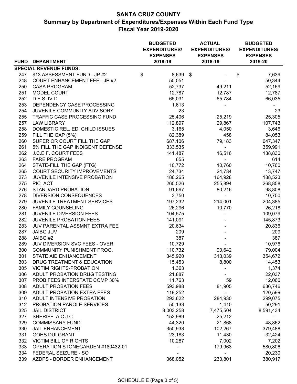## **SANTA CRUZ COUNTY**

**Summary by Department of Expenditures/Expenses Within Each Fund Type Fiscal Year 2019-2020**

|             |                                      | <b>BUDGETED</b><br><b>EXPENDITURES/</b><br><b>EXPENSES</b> | <b>ACTUAL</b><br><b>EXPENDITURES/</b><br><b>EXPENSES</b> | <b>BUDGETED</b><br><b>EXPENDITURES/</b><br><b>EXPENSES</b> |           |  |
|-------------|--------------------------------------|------------------------------------------------------------|----------------------------------------------------------|------------------------------------------------------------|-----------|--|
| <b>FUND</b> | <b>DEPARTMENT</b>                    | 2018-19                                                    | 2018-19                                                  |                                                            | 2019-20   |  |
|             | <b>SPECIAL REVENUE FUNDS:</b>        |                                                            |                                                          |                                                            |           |  |
| 247         | \$13 ASSESSMENT FUND - JP #2         | \$<br>8,639                                                | \$                                                       | \$                                                         | 7,639     |  |
| 248         | <b>COURT ENHANCEMENT FEE - JP #2</b> | 50,051                                                     |                                                          |                                                            | 50,344    |  |
| 250         | <b>CASA PROGRAM</b>                  | 52,737                                                     | 49,211                                                   |                                                            | 52,169    |  |
| 251         | <b>MODEL COURT</b>                   | 12,787                                                     | 12,787                                                   |                                                            | 12,787    |  |
| 252         | D.E.S. IV-D                          | 65,031                                                     | 65,784                                                   |                                                            | 66,035    |  |
| 253         | DEPENDENCY CASE PROCESSING           | 1,613                                                      |                                                          |                                                            |           |  |
| 254         | JUVENILE COMMUNITY ADVISORY          | 23                                                         |                                                          |                                                            | 23        |  |
| 255         | TRAFFIC CASE PROCESSING FUND         | 25,406                                                     | 25,219                                                   |                                                            | 25,305    |  |
| 257         | <b>LAW LIBRARY</b>                   | 112,897                                                    | 29,867                                                   |                                                            | 107,743   |  |
| 258         | DOMESTIC REL. ED. CHILD ISSUES       | 3,165                                                      | 4,050                                                    |                                                            | 3,646     |  |
| 259         | FILL THE GAP (5%)                    | 82,389                                                     | 458                                                      |                                                            | 84,053    |  |
| 260         | SUPERIOR COURT FILL THE GAP          | 687,106                                                    | 79,183                                                   |                                                            | 647,347   |  |
| 261         | 5% FILL THE GAP INDIGENT DEFENSE     | 333,535                                                    |                                                          |                                                            | 359,991   |  |
| 262         | J.C.E.F. COURT FEES                  | 141,487                                                    | 16,516                                                   |                                                            | 138,830   |  |
| 263         | <b>FARE PROGRAM</b>                  | 655                                                        |                                                          |                                                            | 614       |  |
| 264         | STATE-FILL THE GAP (FTG)             | 10,772                                                     | 10,760                                                   |                                                            | 10,760    |  |
| 265         | <b>COURT SECURITY IMPROVEMENTS</b>   | 24,734                                                     | 24,734                                                   |                                                            | 13,747    |  |
| 273         | JUVENILE INTENSIVE PROBATION         | 186,265                                                    | 164,928                                                  |                                                            | 188,523   |  |
| 275         | PIC ACT                              | 260,526                                                    | 255,894                                                  |                                                            | 268,858   |  |
| 276         | <b>STANDARD PROBATION</b>            | 91,697                                                     | 80,216                                                   |                                                            | 98,808    |  |
| 278         | <b>DIVERSION CONSEQUENCES</b>        | 3,750                                                      |                                                          |                                                            | 10,750    |  |
| 279         | JUVENILE TREATMENT SERVICES          | 197,232                                                    | 214,001                                                  |                                                            | 204,385   |  |
| 280         | <b>FAMILY COUNSELING</b>             | 26,296                                                     | 10,770                                                   |                                                            | 26,218    |  |
| 281         | JUVENILE DIVERSION FEES              | 104,575                                                    |                                                          |                                                            | 109,079   |  |
| 282         | <b>JUVENILE PROBATION FEES</b>       | 141,091                                                    |                                                          |                                                            | 145,873   |  |
| 283         | JUV PARENTAL ASSMNT EXTRA FEE        | 20,634                                                     |                                                          |                                                            | 20,836    |  |
| 287         | <b>JAIBG JUV</b>                     | 209                                                        |                                                          |                                                            | 209       |  |
| 288         | JAIBG #2                             | 387                                                        |                                                          |                                                            | 387       |  |
| 289         | JUV DIVERSION SVC FEES - OVER        | 10,729                                                     |                                                          |                                                            | 10,976    |  |
| 300         | COMMUNITY PUNISHMENT PROG.           | 110,732                                                    | 90,642                                                   |                                                            | 79,004    |  |
| 301         | STATE AID ENHANCEMENT                | 345,920                                                    | 313,039                                                  |                                                            | 354,672   |  |
| 303         | DRUG TREATMENT & EDUCATION           | 15,453                                                     | 8,800                                                    |                                                            | 14,453    |  |
| 305         | <b>VICTIM RIGHTS-PROBATION</b>       | 1,363                                                      |                                                          |                                                            | 1,374     |  |
| 306         | ADULT PROBATION DRUG TESTING         | 21,887                                                     |                                                          |                                                            | 22,037    |  |
| 307         | PROB FEES INTERSTATE COMP 30%        | 11,763                                                     | 59                                                       |                                                            | 12,066    |  |
| 308         | <b>ADULT PROBATION FEES</b>          | 593,988                                                    | 81,905                                                   |                                                            | 636,746   |  |
| 309         | ADULT PROBATION EXTRA FEES           | 119,252                                                    |                                                          |                                                            | 120,599   |  |
| 310         | ADULT INTENSIVE PROBATION            | 293,622                                                    | 284,930                                                  |                                                            | 299,075   |  |
| 312         | PROBATION PAROLE SERVICES            | 50,133                                                     | 1,410                                                    |                                                            | 50,291    |  |
| 325         | <b>JAIL DISTRICT</b>                 | 8,003,258                                                  | 7,475,504                                                |                                                            | 8,591,434 |  |
| 327         | SHERIFF A.C.J.C.                     | 152,989                                                    | 25,212                                                   |                                                            |           |  |
| 329         | <b>COMMISSARY FUND</b>               | 44,320                                                     | 21,868                                                   |                                                            | 48,862    |  |
| 330         | <b>JAIL ENHANCEMENT</b>              | 350,938                                                    | 102,267                                                  |                                                            | 379,488   |  |
| 331         | <b>GOHS DUI GRANT</b>                | 23,183                                                     | 11,430                                                   |                                                            | 32,424    |  |
| 332         | <b>VICTIM BILL OF RIGHTS</b>         | 10,287                                                     | 7,002                                                    |                                                            | 7,202     |  |
| 333         | OPERATION STONEGARDEN #180432-01     |                                                            | 179,963                                                  |                                                            | 580,806   |  |
| 334         | FEDERAL SEIZURE - SO                 |                                                            |                                                          |                                                            | 20,230    |  |
| 339         | AZDPS - BORDER ENHANCEMENT           | 368,052                                                    | 233,801                                                  |                                                            | 380,917   |  |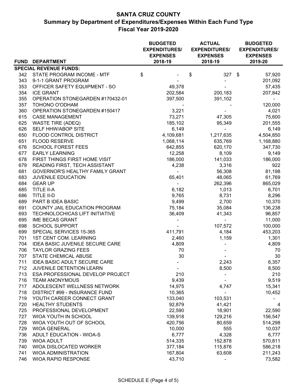## **SANTA CRUZ COUNTY Summary by Department of Expenditures/Expenses Within Each Fund Type Fiscal Year 2019-2020**

|     |                                        | <b>BUDGETED</b><br><b>EXPENDITURES/</b><br><b>EXPENSES</b> | <b>ACTUAL</b><br><b>EXPENDITURES/</b><br><b>EXPENSES</b> | <b>BUDGETED</b><br><b>EXPENDITURES/</b><br><b>EXPENSES</b> |  |                          |  |
|-----|----------------------------------------|------------------------------------------------------------|----------------------------------------------------------|------------------------------------------------------------|--|--------------------------|--|
|     | FUND DEPARTMENT                        | 2018-19                                                    |                                                          | 2018-19                                                    |  | 2019-20                  |  |
|     | <b>SPECIAL REVENUE FUNDS:</b>          |                                                            |                                                          |                                                            |  |                          |  |
| 342 | STATE PROGRAM INCOME - MTF             | \$                                                         | \$                                                       | $327$ \$                                                   |  | 57,920                   |  |
| 343 | 9-1-1 GRANT PROGRAM                    |                                                            |                                                          |                                                            |  | 201,092                  |  |
| 353 | OFFICER SAFETY EQUIPMENT - SO          | 49,378                                                     |                                                          |                                                            |  | 57,435                   |  |
| 354 | <b>ICE GRANT</b>                       | 202,584                                                    |                                                          | 200,183                                                    |  | 207,842                  |  |
| 355 | OPERATION STONEGARDEN #170432-01       | 397,500                                                    |                                                          | 391,102                                                    |  | $\overline{\phantom{0}}$ |  |
| 357 | TOHONO O'ODHAM                         |                                                            |                                                          |                                                            |  | 120,000                  |  |
| 360 | OPERATION STONEGARDEN #150417          | 3,221                                                      |                                                          |                                                            |  | 4,021                    |  |
| 615 | <b>CASE MANAGEMENT</b>                 | 73,271                                                     |                                                          | 47,305                                                     |  | 75,600                   |  |
| 625 | <b>WASTE TIRE (ADEQ)</b>               | 185,102                                                    |                                                          | 95,349                                                     |  | 201,555                  |  |
| 626 | SELF HHW/ABOP SITE                     | 6,149                                                      |                                                          |                                                            |  | 6,149                    |  |
| 650 | FLOOD CONTROL DISTRICT                 | 4,109,681                                                  |                                                          | 1,217,635                                                  |  | 4,504,850                |  |
| 651 | <b>FLOOD RESERVE</b>                   | 1,068,114                                                  |                                                          | 635,769                                                    |  | 1,168,880                |  |
| 676 | <b>SCHOOL FOREST FEES</b>              | 642,855                                                    |                                                          | 620,170                                                    |  | 347,730                  |  |
| 677 | <b>EARLY LEARNING</b>                  | 12,258                                                     |                                                          | 8,109                                                      |  | 9,149                    |  |
| 678 | FIRST THINGS FIRST HOME VISIT          | 186,000                                                    |                                                          | 141,033                                                    |  | 186,000                  |  |
| 679 | READING FIRST, TECH ASSISTANT          | 4,238                                                      |                                                          | 3,316                                                      |  | 922                      |  |
| 681 | GOVERNOR'S HEALTHY FAMILY GRANT        |                                                            |                                                          | 56,308                                                     |  | 81,198                   |  |
| 683 | <b>JUVENILE EDUCATION</b>              | 65,401                                                     |                                                          | 48,065                                                     |  | 61,769                   |  |
| 684 | <b>GEAR UP</b>                         | $\blacksquare$                                             |                                                          | 262,396                                                    |  | 865,029                  |  |
| 685 | <b>TITLE II-A</b>                      | 6,182                                                      |                                                          | 1,013                                                      |  | 6,701                    |  |
| 686 | TITLE II-D                             | 9,765                                                      |                                                          | 8,731                                                      |  | 8,296                    |  |
| 689 | PART B IDEA BASIC                      | 9,499                                                      |                                                          | 2,700                                                      |  | 10,370                   |  |
| 691 | COUNTY JAIL EDUCATION PROGRAM          | 75,184                                                     |                                                          | 35,084                                                     |  | 136,238                  |  |
| 693 | TECHNOLOCHICAS LIFT INITIATIVE         | 36,409                                                     |                                                          | 41,343                                                     |  | 96,857                   |  |
| 695 | <b>IME BECAS GRANT</b>                 |                                                            |                                                          | $\blacksquare$                                             |  | 11,000                   |  |
| 698 | <b>SCHOOL SUPPORT</b>                  |                                                            |                                                          | 107,572                                                    |  | 100,000                  |  |
| 699 | SPECIAL SERVICES 15-365                | 411,791                                                    |                                                          | 4,184                                                      |  | 453,203                  |  |
| 701 | 1ST CENT COM. LEARNING                 | 2,460                                                      |                                                          | 1,159                                                      |  | 1,301                    |  |
| 704 | <b>IDEA BASIC JUVENILE SECURE CARE</b> | 4,809                                                      |                                                          |                                                            |  | 4,809                    |  |
| 706 | <b>TAYLOR GRAZING FEES</b>             | 70                                                         |                                                          |                                                            |  | 70                       |  |
| 707 | STATE CHEMICAL ABUSE                   | 30                                                         |                                                          |                                                            |  | 30                       |  |
| 711 | <b>IDEA BASIC ADULT SECURE CARE</b>    |                                                            |                                                          | 2,243                                                      |  | 6,357                    |  |
| 712 | JUVENILE DETENTION LEARN               |                                                            |                                                          | 8,500                                                      |  | 8,500                    |  |
| 713 | ESA PROFESSIONAL DEVELOP PROJECT       | 210                                                        |                                                          |                                                            |  | 210                      |  |
| 716 | <b>TEAM ANONYMOUS</b>                  | 9,439                                                      |                                                          |                                                            |  | 9,519                    |  |
| 717 | ADOLESCENT WELLNESS NETWORK            | 14,975                                                     |                                                          | 4,747                                                      |  | 15,341                   |  |
| 718 | DISTRICT #99 - INSURANCE FUND          | 10,365                                                     |                                                          |                                                            |  | 10,452                   |  |
| 719 | YOUTH CAREER CONNECT GRANT             | 133,040                                                    |                                                          | 103,531                                                    |  |                          |  |
| 720 | <b>HEALTHY STUDENTS</b>                | 92,879                                                     |                                                          | 41,421                                                     |  | 4                        |  |
| 725 | PROFESSIONAL DEVELOPMENT               | 22,590                                                     |                                                          | 18,901                                                     |  | 22,590                   |  |
| 727 | WIOA YOUTH IN SCHOOL                   | 139,918                                                    |                                                          | 129,216                                                    |  | 156,547                  |  |
| 728 | WIOA YOUTH OUT OF SCHOOL               | 420,756                                                    |                                                          | 80,659                                                     |  | 514,298                  |  |
| 729 | <b>WIOA GENERAL</b>                    | 10,000                                                     |                                                          | 555                                                        |  | 10,037                   |  |
| 736 | ADULT EDUCATION - WIOA-S               | 6,777                                                      |                                                          | 4,328                                                      |  | 6,777                    |  |
| 739 | <b>WIOA ADULT</b>                      | 514,335                                                    |                                                          | 152,878                                                    |  | 570,811                  |  |
| 740 | WIOA DISLOCATED WORKER                 | 377,184                                                    |                                                          | 115,876                                                    |  | 586,218                  |  |
| 741 | <b>WIOA ADMINISTRATION</b>             | 167,804                                                    |                                                          | 63,608                                                     |  | 211,243                  |  |
| 746 | <b>WIOA RAPID RESPONSE</b>             | 43,710                                                     |                                                          |                                                            |  | 73,582                   |  |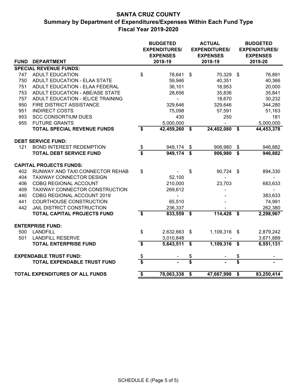## **SANTA CRUZ COUNTY Summary by Department of Expenditures/Expenses Within Each Fund Type Fiscal Year 2019-2020**

|                                 |                                    |                                  | <b>BUDGETED</b><br><b>EXPENDITURES/</b><br><b>EXPENSES</b> |                         | <b>ACTUAL</b><br><b>EXPENDITURES/</b><br><b>EXPENSES</b> | <b>BUDGETED</b><br><b>EXPENDITURES/</b><br><b>EXPENSES</b> |            |  |  |
|---------------------------------|------------------------------------|----------------------------------|------------------------------------------------------------|-------------------------|----------------------------------------------------------|------------------------------------------------------------|------------|--|--|
| <b>FUND</b>                     | <b>DEPARTMENT</b>                  |                                  | 2018-19                                                    |                         | 2018-19                                                  |                                                            | 2019-20    |  |  |
|                                 | <b>SPECIAL REVENUE FUNDS:</b>      |                                  |                                                            |                         |                                                          |                                                            |            |  |  |
| 747                             | <b>ADULT EDUCATION</b>             | \$                               | 78,641                                                     | \$                      | 70,329                                                   | \$                                                         | 76,891     |  |  |
| 750                             | ADULT EDUCATION - ELAA STATE       |                                  | 59,946                                                     |                         | 40,351                                                   |                                                            | 40,366     |  |  |
| 751                             | ADULT EDUCATION - ELAA FEDERAL     |                                  | 36,101                                                     |                         | 16,953                                                   |                                                            | 20,000     |  |  |
| 753                             | ADULT EDUCATION - ABE/ASE STATE    |                                  | 28,656                                                     |                         | 35,836                                                   |                                                            | 35,841     |  |  |
| 757                             | ADULT EDUCATION - IEL/CE TRAINING  |                                  | L.                                                         |                         | 18,670                                                   |                                                            | 30,232     |  |  |
| 950                             | FIRE DISTRICT ASSISTANCE           |                                  | 329,646                                                    |                         | 329,646                                                  |                                                            | 344,280    |  |  |
| 951                             | <b>INDIRECT COSTS</b>              |                                  | 75,098                                                     |                         | 57,591                                                   |                                                            | 51,163     |  |  |
| 953                             | <b>SCC CONSORTIUM DUES</b>         |                                  | 430                                                        |                         | 250                                                      |                                                            | 181        |  |  |
| 955                             | <b>FUTURE GRANTS</b>               |                                  | 5,000,000                                                  |                         |                                                          |                                                            | 5,000,000  |  |  |
|                                 | <b>TOTAL SPECIAL REVENUE FUNDS</b> | \$                               | 42,459,260                                                 | \$                      | 24,402,080                                               | $\overline{\mathbf{s}}$                                    | 44,453,378 |  |  |
|                                 | <b>DEBT SERVICE FUND:</b>          |                                  |                                                            |                         |                                                          |                                                            |            |  |  |
| 121                             | <b>BOND INTEREST REDEMPTION</b>    | \$                               | 949,174                                                    | \$                      | 906,980                                                  | \$                                                         | 946,882    |  |  |
|                                 | <b>TOTAL DEBT SERVICE FUND</b>     |                                  | 949,174                                                    | $\overline{\mathbf{s}}$ | 906,980                                                  | $\overline{\boldsymbol{s}}$                                | 946,882    |  |  |
|                                 | <b>CAPITAL PROJECTS FUNDS:</b>     |                                  |                                                            |                         |                                                          |                                                            |            |  |  |
| 402                             | RUNWAY AND TAXI CONNECTOR REHAB    | \$                               |                                                            | \$                      | 90,724                                                   | $\mathfrak{F}$                                             | 894,330    |  |  |
| 404                             | <b>TAXIWAY CONNECTOR DESIGN</b>    |                                  | 52,100                                                     |                         |                                                          |                                                            |            |  |  |
| 406                             | <b>CDBG REGIONAL ACCOUNT</b>       |                                  | 210,000                                                    |                         | 23,703                                                   |                                                            | 683,633    |  |  |
| 409                             | TAXIWAY CONNECTOR CONSTRUCTION     |                                  | 269,612                                                    |                         |                                                          |                                                            |            |  |  |
| 440                             | CDBG REGIONAL ACCOUNT 2019         |                                  |                                                            |                         |                                                          |                                                            | 383,633    |  |  |
| 441                             | <b>COURTHOUSE CONSTRUCTION</b>     |                                  | 65,510                                                     |                         |                                                          |                                                            | 74,991     |  |  |
| 442                             | JAIL DISTRICT CONSTRUCTION         |                                  | 236,337                                                    |                         |                                                          |                                                            | 262,380    |  |  |
|                                 | <b>TOTAL CAPITAL PROJECTS FUND</b> | \$                               | 833,559                                                    | \$                      | 114,428                                                  | \$                                                         | 2,298,967  |  |  |
|                                 |                                    |                                  |                                                            |                         |                                                          |                                                            |            |  |  |
|                                 | <b>ENTERPRISE FUND:</b>            |                                  |                                                            |                         |                                                          |                                                            |            |  |  |
| 500                             | <b>LANDFILL</b>                    | \$                               | 2,632,663                                                  | \$                      | 1,109,316                                                | $\boldsymbol{\mathsf{s}}$                                  | 2,879,242  |  |  |
| 501                             | <b>LANDFILL RESERVE</b>            |                                  | 3,010,848                                                  |                         |                                                          |                                                            | 3,671,889  |  |  |
|                                 | <b>TOTAL ENTERPRISE FUND</b>       | $\overline{\boldsymbol{\theta}}$ | 5,643,511                                                  | $\overline{\mathbf{s}}$ | 1,109,316                                                | $\overline{\mathbf{s}}$                                    | 6,551,131  |  |  |
|                                 | <b>EXPENDABLE TRUST FUND:</b>      | \$                               |                                                            | \$                      |                                                          | \$                                                         |            |  |  |
|                                 | <b>TOTAL EXPENDABLE TRUST FUND</b> |                                  |                                                            | $\overline{\mathbf{s}}$ |                                                          | $\overline{\textbf{\$}}$                                   |            |  |  |
| TOTAL EXPENDITURES OF ALL FUNDS |                                    | \$                               | 78,063,338                                                 | \$                      | 47,667,998                                               | \$                                                         | 83,250,414 |  |  |
|                                 |                                    |                                  |                                                            |                         |                                                          |                                                            |            |  |  |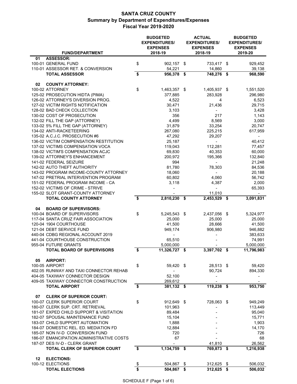|                                                                 |          | <b>BUDGETED</b><br><b>EXPENDITURES/</b><br><b>EXPENSES</b> |          | <b>ACTUAL</b><br><b>EXPENDITURES/</b><br><b>EXPENSES</b> | <b>BUDGETED</b><br><b>EXPENDITURES/</b><br><b>EXPENSES</b> |                    |  |
|-----------------------------------------------------------------|----------|------------------------------------------------------------|----------|----------------------------------------------------------|------------------------------------------------------------|--------------------|--|
| <b>FUND/DEPARTMENT</b>                                          |          | 2018-19                                                    |          | 2018-19                                                  |                                                            | 2019-20            |  |
| <b>ASSESSOR:</b><br>01<br>100-01 GENERAL FUND                   |          |                                                            |          |                                                          |                                                            |                    |  |
| 110-01 ASSESSOR RET. & CONVERSION                               | \$       | 902,157 \$<br>54,221                                       |          | 733,417 \$<br>14,860                                     |                                                            | 929,452<br>39,138  |  |
| <b>TOTAL ASSESSOR</b>                                           | \$       | 956,378 \$                                                 |          | 748,276                                                  | \$                                                         | 968,590            |  |
|                                                                 |          |                                                            |          |                                                          |                                                            |                    |  |
| <b>COUNTY ATTORNEY:</b><br>02                                   |          |                                                            |          |                                                          |                                                            |                    |  |
| 100-02 ATTORNEY                                                 | \$       | 1,463,357 \$                                               |          | 1,405,937 \$                                             |                                                            | 1,551,520          |  |
| 125-02 PROSECUTION HIDTA (PIMA)                                 |          | 377,885                                                    |          | 283,928                                                  |                                                            | 296,980            |  |
| 126-02 ATTORNEY'S DIVERSION PROG.                               |          | 4,522                                                      |          | 4                                                        |                                                            | 6,523              |  |
| 127-02 VICTIM RIGHTS NOTIFICATION                               |          | 30,471                                                     |          | 21,436                                                   |                                                            | 29,715             |  |
| 128-02 BAD CHECK COLLECTION                                     |          | 3,103                                                      |          | $\overline{\phantom{a}}$                                 |                                                            | 3,428              |  |
| 130-02 COST OF PROSECUTION                                      |          | 356                                                        |          | 217                                                      |                                                            | 1,143              |  |
| 132-02 FILL THE GAP (ATTORNEY)                                  |          | 4,499                                                      |          | 8,569                                                    |                                                            | 3,000              |  |
| 133-02 5% FILL THE GAP (ATTORNEY)                               |          | 31,879                                                     |          | 33,254                                                   |                                                            | 20,747             |  |
| 134-02 ANTI-RACKETEERING                                        |          | 267,080                                                    |          | 225,215                                                  |                                                            | 617,959            |  |
| 135-02 A.C.J.C. PROSECUTION #6                                  |          | 47,292                                                     |          | 29,207                                                   |                                                            | $\blacksquare$     |  |
| 136-02 VICTIM COMPENSATION RESTITUTION                          |          | 25,187                                                     |          | $\blacksquare$                                           |                                                            | 40,412             |  |
| 137-02 VICTIMS COMPENSATION VOCA                                |          | 119,043                                                    |          | 112,281                                                  |                                                            | 77,457             |  |
| 138-02 VICTIM'S COMPENSATION ACJC                               |          | 69,830                                                     |          | 40,353                                                   |                                                            | 60,000             |  |
| 139-02 ATTORNEY'S ENHANCEMENT                                   |          | 200,972                                                    |          | 195,366                                                  |                                                            | 132,840            |  |
| 141-02 FEDERAL SEIZURE<br>142-02 AUTO THEFT AUTHORITY           |          | 994                                                        |          |                                                          |                                                            | 21,248             |  |
| 143-02 PROGRAM INCOME-COUNTY ATTORNEY                           |          | 81,780                                                     |          | 78,303                                                   |                                                            | 84,536             |  |
| 147-02 PRETRIAL INTERVENTION PROGRAM                            |          | 18,060<br>60,802                                           |          | 4,060                                                    |                                                            | 20,188<br>56,742   |  |
| 151-02 FEDERAL PROGRAM INCOME - CA                              |          | 3,118                                                      |          | 4,387                                                    |                                                            | 2,000              |  |
| 152-02 VICTIMS OF CRIME - STRIVE                                |          |                                                            |          | ÷                                                        |                                                            | 65,393             |  |
| 155-02 SLOT GRANT-COUNTY ATTORNEY                               |          |                                                            |          | 11,010                                                   |                                                            |                    |  |
| <b>TOTAL COUNTY ATTORNEY</b>                                    | \$       | $2,810,230$ \$                                             |          | 2,453,529 \$                                             |                                                            | 3,091,831          |  |
|                                                                 |          |                                                            |          |                                                          |                                                            |                    |  |
| <b>BOARD OF SUPERVISORS:</b><br>04                              |          |                                                            |          |                                                          |                                                            |                    |  |
| 100-04 BOARD OF SUPERVISORS                                     | \$       | 5,245,543 \$                                               |          | 2,437,056 \$                                             |                                                            | 5,324,977          |  |
| 117-04 SANTA CRUZ FAIR ASSOCIATION                              |          | 25,000                                                     |          | 25,000                                                   |                                                            | 25,000             |  |
| 120-04 1904 COURTHOUSE                                          |          | 41,500                                                     |          | 28,666                                                   |                                                            | 41,500             |  |
| 121-04 DEBT SERVICE FUND                                        |          | 949,174                                                    |          | 906,980                                                  |                                                            | 946,882            |  |
| 440-04 CDBG REGIONAL ACCOUNT 2019                               |          |                                                            |          |                                                          |                                                            | 383,633            |  |
| 441-04 COURTHOUSE CONSTRUCTION                                  |          | 65,510                                                     |          |                                                          |                                                            | 74,991             |  |
| 955-04 FUTURE GRANTS                                            |          | 5,000,000                                                  |          |                                                          |                                                            | 5,000,000          |  |
| <b>TOTAL BOARD OF SUPERVISORS</b>                               | \$       | 11,326,727 \$                                              |          | 3,397,702 \$                                             |                                                            | 11,796,983         |  |
|                                                                 |          |                                                            |          |                                                          |                                                            |                    |  |
| <b>AIRPORT:</b><br>05                                           |          |                                                            |          |                                                          |                                                            |                    |  |
| <b>100-05 AIRPORT</b><br>402.05 RUNWAY AND TAXI CONNECTOR REHAB | \$       | 59.420                                                     | - \$     | 28,513 \$                                                |                                                            | 59,420             |  |
| 404-05 TAXIWAY CONNECTOR DESIGN                                 |          | 52,100                                                     |          | 90,724                                                   |                                                            | 894,330            |  |
| 409-05 TAXIWAY CONNECTOR CONSTRUCTION                           |          | 269,612                                                    |          |                                                          |                                                            |                    |  |
| <b>TOTAL AIRPORT</b>                                            | \$       | 381,132 \$                                                 |          | 119,238 \$                                               |                                                            | 953,750            |  |
|                                                                 |          |                                                            |          |                                                          |                                                            |                    |  |
| 07<br><b>CLERK OF SUPERIOR COURT:</b>                           |          |                                                            |          |                                                          |                                                            |                    |  |
| 100-07 CLERK SUPERIOR COURT                                     | \$       | 912,649 \$                                                 |          | 728,063                                                  | - \$                                                       | 949,249            |  |
| 180-07 CLERK SUP. CRT. RETRIEVAL                                |          | 101,963                                                    |          |                                                          |                                                            | 113,449            |  |
| 181-07 EXPED CHILD SUPPORT & VISITATION                         |          | 89,484                                                     |          |                                                          |                                                            | 95,040             |  |
| 182-07 SPOUSAL MAINTENANCE FUND                                 |          | 15,104                                                     |          |                                                          |                                                            | 15,771             |  |
| 183-07 CHILD SUPPORT AUTOMATION                                 |          | 1,888                                                      |          |                                                          |                                                            | 1,903              |  |
| 184-07 DOMESTIC REL. ED. MEDIATION FD                           |          | 12,884                                                     |          |                                                          |                                                            | 14,170             |  |
| 185-07 NON IV-D CONVERSION FUND                                 |          | 720                                                        |          |                                                          |                                                            | 726                |  |
| 186-07 EMANCIPATION ADMINISTRATIVE COSTS                        |          | 67                                                         |          |                                                          |                                                            | 68                 |  |
| 187-07 DES IV-D - CLERK GRANT                                   |          |                                                            |          | 41,810                                                   |                                                            | 26,562             |  |
| <b>TOTAL CLERK OF SUPERIOR COURT</b>                            | \$       | 1,134,759 \$                                               |          | 769,873 \$                                               |                                                            | 1,216,938          |  |
|                                                                 |          |                                                            |          |                                                          |                                                            |                    |  |
| <b>ELECTIONS:</b><br>12                                         |          |                                                            |          |                                                          |                                                            |                    |  |
| 100-12 ELECTIONS<br><b>TOTAL ELECTIONS</b>                      | \$<br>\$ | 504,867<br>504,867                                         | \$<br>\$ | 312,625<br>312,625                                       | \$<br>- \$                                                 | 506,032<br>506,032 |  |
|                                                                 |          |                                                            |          |                                                          |                                                            |                    |  |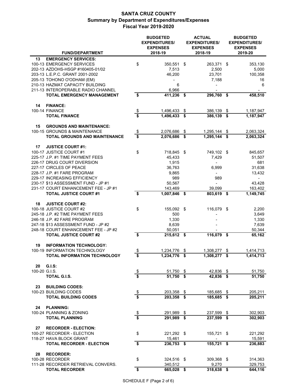|                                                                                                                                                                                                             |                                      | <b>BUDGETED</b><br><b>EXPENDITURES/</b><br><b>EXPENSES</b> | <b>ACTUAL</b><br><b>EXPENDITURES/</b><br><b>EXPENSES</b> | <b>BUDGETED</b><br><b>EXPENDITURES/</b><br><b>EXPENSES</b> |                                            |  |
|-------------------------------------------------------------------------------------------------------------------------------------------------------------------------------------------------------------|--------------------------------------|------------------------------------------------------------|----------------------------------------------------------|------------------------------------------------------------|--------------------------------------------|--|
| <b>FUND/DEPARTMENT</b>                                                                                                                                                                                      |                                      | 2018-19                                                    | 2018-19                                                  |                                                            | 2019-20                                    |  |
| <b>EMERGENCY SERVICES:</b><br>13<br>100-13 EMERGENCY SERVICES<br>202-13 AZDOHS-HSGP #160405-01/02<br>203-13 L.E.P.C. GRANT 2001-2002                                                                        | \$                                   | 350,551 \$<br>7,513<br>46,200                              | 263,371 \$<br>2,500<br>23,701                            |                                                            | 353,130<br>5,000<br>100,358                |  |
| 205-13 TOHONO O'ODHAM (EM)<br>210-13 HAZMAT CAPACITY BUILDING<br>211-13 INTEROPERABLE RADIO CHANNEL<br><b>TOTAL EMERGENCY MANAGEMENT</b>                                                                    | \$                                   | 6<br>6,966<br>$411,236$ \$                                 | 7,188<br>296,760 \$                                      |                                                            | 16<br>6<br>458,510                         |  |
| <b>FINANCE:</b><br>14                                                                                                                                                                                       |                                      |                                                            |                                                          |                                                            |                                            |  |
| 100-14 FINANCE<br><b>TOTAL FINANCE</b>                                                                                                                                                                      | $\frac{1}{2}$<br>$\overline{\$}$     | 1,496,433 \$<br>$1,496,433$ \$                             | 386,139 \$<br>386,139 \$                                 |                                                            | 1,187,947<br>1,187,947                     |  |
| <b>GROUNDS AND MAINTENANCE:</b><br>15<br>100-15 GROUNDS & MAINTENANCE<br><b>TOTAL GROUNDS AND MAINTENANCE</b>                                                                                               | $\frac{1}{2}$<br>\$                  | 2,076,686<br>2,076,686 \$                                  | \$<br>1,295,144<br>1,295,144 \$                          | \$                                                         | 2,063,324<br>2,063,324                     |  |
| <b>JUSTICE COURT #1:</b><br>17                                                                                                                                                                              |                                      |                                                            |                                                          |                                                            |                                            |  |
| 100-17 JUSTICE COURT #1<br>225-17 J.P. #1 TIME PAYMENT FEES<br>226-17 DRUG COURT DIVERSION<br>227-17 CIRCLES OF PEACE                                                                                       | \$                                   | 718,845 \$<br>45.433<br>1,915                              | 749,102 \$<br>7,429                                      |                                                            | 845,657<br>51,507<br>681                   |  |
| 228-17 J.P. #1 FARE PROGRAM<br>229-17 INCREASING EFFICIENCY<br>230-17 \$13 ASSESSMENT FUND - JP #1                                                                                                          |                                      | 36,763<br>9,865<br>989<br>50,567                           | 6,999<br>989                                             |                                                            | 31,638<br>13,432<br>43,428                 |  |
| 231-17 COURT ENHANCEMENT FEE - JP #1<br><b>TOTAL JUSTICE COURT #1</b>                                                                                                                                       | \$                                   | 143,469<br>$1,007,846$ \$                                  | 39,099<br>$803,619$ \$                                   |                                                            | 163,402<br>1,149,745                       |  |
| <b>JUSTICE COURT #2:</b><br>18<br>100-18 JUSTICE COURT #2<br>245-18 J.P. #2 TIME PAYMENT FEES<br>246-18 J.P. #2 FARE PROGRAM<br>247-18 \$13 ASSESSMENT FUND - JP #2<br>248-18 COURT ENHANCEMENT FEE - JP #2 | \$                                   | 155,092 \$<br>500<br>1,330<br>8,639<br>50,051              | 116,079 \$                                               |                                                            | 2,200<br>3,649<br>1,330<br>7,639<br>50,344 |  |
| <b>TOTAL JUSTICE COURT #2</b>                                                                                                                                                                               | \$                                   | 215,612 \$                                                 | 116,079 \$                                               |                                                            | 65,162                                     |  |
| <b>INFORMATION TECHNOLOGY:</b><br>19<br>100-19 INFORMATION TECHNOLOGY<br>TOTAL INFORMATION TECHNOLOGY                                                                                                       | \$<br>\$                             | 1,234,776 \$<br>1,234,776 \$                               | 1,308,277 \$<br>1,308,277 \$                             |                                                            | 1,414,713<br>1,414,713                     |  |
| G.I.S:<br>20<br>100-20 G.I.S.                                                                                                                                                                               | $\frac{\$}{\$}$                      | 51,750                                                     | \$<br>42,836 \$                                          |                                                            | 51,750                                     |  |
| TOTAL G.I.S.                                                                                                                                                                                                |                                      | $51,750$ \$                                                | 42,836 \$                                                |                                                            | 51,750                                     |  |
| 23<br><b>BUILDING CODES:</b><br>100-23 BUILDING CODES<br><b>TOTAL BUILDING CODES</b>                                                                                                                        | $\frac{1}{2}$                        | 203,358 \$<br>$203,358$ \$                                 | 185,685 \$<br>185,685 \$                                 |                                                            | 205,211<br>205,211                         |  |
| 24<br><b>PLANNING:</b><br>100-24 PLANNING & ZONING                                                                                                                                                          |                                      | 291,989                                                    | \$<br>237,599                                            | \$                                                         | 302,903                                    |  |
| <b>TOTAL PLANNING</b>                                                                                                                                                                                       | $\frac{1}{2}$                        | $291,989$ \$                                               | $237,599$ \$                                             |                                                            | 302,903                                    |  |
| <b>RECORDER - ELECTION:</b><br>27<br>100-27 RECORDER - ELECTION<br>118-27 HAVA BLOCK GRANT                                                                                                                  | \$                                   | 221,292 \$<br>15,461                                       | 155,721 \$                                               |                                                            | 221,292<br>15,591                          |  |
| <b>TOTAL RECORDER - ELECTION</b>                                                                                                                                                                            | $\overline{\bullet}$                 | 236,753 \$                                                 | 155,721 \$                                               |                                                            | 236,883                                    |  |
| 28<br><b>RECORDER:</b><br>100-28 RECORDER<br>111-28 RECORDER RETRIEVAL CONVERS.                                                                                                                             | \$                                   | 324,516 \$<br>340,512                                      | 309,368 \$<br>9,270                                      |                                                            | 314,363<br>329,753                         |  |
| <b>TOTAL RECORDER</b>                                                                                                                                                                                       | $\overline{\boldsymbol{\mathsf{s}}}$ | $665,028$ \$                                               | $318,638$ \$                                             |                                                            | 644,116                                    |  |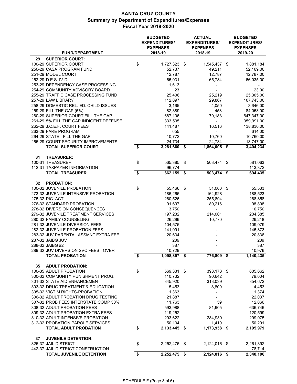|                                                                      |                                      | <b>BUDGETED</b><br><b>EXPENDITURES/</b><br><b>EXPENSES</b> | <b>ACTUAL</b><br><b>EXPENDITURES/</b><br><b>EXPENSES</b> | <b>BUDGETED</b><br><b>EXPENDITURES/</b><br><b>EXPENSES</b> |                    |  |  |
|----------------------------------------------------------------------|--------------------------------------|------------------------------------------------------------|----------------------------------------------------------|------------------------------------------------------------|--------------------|--|--|
| <b>FUND/DEPARTMENT</b>                                               |                                      | 2018-19                                                    | 2018-19                                                  |                                                            | 2019-20            |  |  |
| <b>SUPERIOR COURT:</b><br>29                                         |                                      |                                                            |                                                          |                                                            |                    |  |  |
| 100-29 SUPERIOR COURT                                                | \$                                   | 1,727,323 \$                                               | 1,545,437 \$                                             |                                                            | 1,881,184          |  |  |
| 250-29 CASA PROGRAM FUND                                             |                                      | 52,737                                                     | 49,211                                                   |                                                            | 52,169.00          |  |  |
| 251-29 MODEL COURT                                                   |                                      | 12,787                                                     | 12,787                                                   |                                                            | 12,787.00          |  |  |
| 252-29 D.E.S. IV-D                                                   |                                      | 65,031                                                     | 65,784                                                   |                                                            | 66,035.00          |  |  |
| 253-29 DEPENDENCY CASE PROCESSING<br>254-29 COMMUNITY ADVISORY BOARD |                                      | 1,613<br>23                                                |                                                          |                                                            |                    |  |  |
| 255-29 TRAFFIC CASE PROCESSING FUND                                  |                                      | 25,406                                                     | 25,219                                                   |                                                            | 23.00<br>25,305.00 |  |  |
| 257-29 LAW LIBRARY                                                   |                                      | 112,897                                                    | 29,867                                                   |                                                            | 107,743.00         |  |  |
| 258-29 DOMESTIC REL. ED. CHILD ISSUES                                |                                      | 3.165                                                      | 4,050                                                    |                                                            | 3,646.00           |  |  |
| 259-29 FILL THE GAP (5%)                                             |                                      | 82,389                                                     | 458                                                      |                                                            | 84,053.00          |  |  |
| 260-29 SUPERIOR COURT FILL THE GAP                                   |                                      | 687,106                                                    | 79,183                                                   |                                                            | 647,347.00         |  |  |
| 261-29 5% FILL THE GAP INDIGENT DEFENSE                              |                                      | 333,535                                                    | $\overline{\phantom{a}}$                                 |                                                            | 359,991.00         |  |  |
| 262-29 J.C.E.F. COURT FEES                                           |                                      | 141,487                                                    | 16,516                                                   |                                                            | 138,830.00         |  |  |
| 263-29 FARE PROGRAM                                                  |                                      | 655                                                        |                                                          |                                                            | 614.00             |  |  |
| 264-29 STATE - FILL THE GAP                                          |                                      | 10,772                                                     | 10,760                                                   |                                                            | 10,760.00          |  |  |
| 265-29 COURT SECURITY IMPROVEMENTS                                   |                                      | 24,734                                                     | 24,734                                                   |                                                            | 13,747.00          |  |  |
| <b>TOTAL SUPERIOR COURT</b>                                          | \$                                   | 3,281,660 \$                                               | 1,864,005 \$                                             |                                                            | 3,404,234          |  |  |
| <b>TREASURER:</b><br>31                                              |                                      |                                                            |                                                          |                                                            |                    |  |  |
| 100-31 TREASURER                                                     | \$                                   | 565,385 \$                                                 | 503,474 \$                                               |                                                            | 581,063            |  |  |
| 112-31 TAXPAYER INFORMATION                                          |                                      | 96,774                                                     |                                                          |                                                            | 113,372            |  |  |
| <b>TOTAL TREASURER</b>                                               | $\overline{\boldsymbol{\mathsf{s}}}$ | $662,159$ \$                                               | $503,474$ \$                                             |                                                            | 694,435            |  |  |
| 32<br><b>PROBATION:</b>                                              |                                      |                                                            |                                                          |                                                            |                    |  |  |
| 100-32 JUVENILE PROBATION                                            | \$                                   | 55,466 \$                                                  | 51,000 \$                                                |                                                            | 55,533             |  |  |
| 273-32 JUVENILE INTENSIVE PROBATION                                  |                                      | 186,265                                                    | 164,928                                                  |                                                            | 188,523            |  |  |
| 275-32 PIC ACT                                                       |                                      | 260,526                                                    | 255,894                                                  |                                                            | 268,858            |  |  |
| 276-32 STANDARD PROBATION                                            |                                      | 91,697                                                     | 80,216                                                   |                                                            | 98,808             |  |  |
| 278-32 DIVERSION CONSEQUENCES                                        |                                      | 3,750                                                      | $\sim$                                                   |                                                            | 10,750             |  |  |
| 279-32 JUVENILE TREATMENT SERVICES<br>280-32 FAMILY COUNSELING       |                                      | 197,232                                                    | 214,001                                                  |                                                            | 204,385            |  |  |
| 281-32 JUVENILE DIVERSION FEES                                       |                                      | 26,296                                                     | 10,770                                                   |                                                            | 26,218<br>109,079  |  |  |
| 282-32 JUVENILE PROBATION FEES                                       |                                      | 104,575<br>141,091                                         |                                                          |                                                            | 145,873            |  |  |
| 283-32 JUV PARENTAL ASSMNT EXTRA FEE                                 |                                      | 20,634                                                     |                                                          |                                                            | 20,836             |  |  |
| 287-32 JAIBG JUV                                                     |                                      | 209                                                        |                                                          |                                                            | 209                |  |  |
| 288-32 JAIBG #2                                                      |                                      | 387                                                        |                                                          |                                                            | 387                |  |  |
| 289-32 JUV DIVERSION SVC FEES - OVER                                 |                                      | 10,729                                                     |                                                          |                                                            | 10,976             |  |  |
| <b>TOTAL PROBATION</b>                                               | \$                                   | 1,098,857 \$                                               | 776,809 \$                                               |                                                            | 1,140,435          |  |  |
| 35<br><b>ADULT PROBATION:</b>                                        |                                      |                                                            |                                                          |                                                            |                    |  |  |
| 100-35 ADULT PROBATION                                               | \$                                   | 569,331 \$                                                 | 393,173 \$                                               |                                                            | 605,662            |  |  |
| 300-32 COMMUNITY PUNISHMENT PROG.                                    |                                      | 110,732                                                    | 90,642                                                   |                                                            | 79,004             |  |  |
| 301-32 STATE AID ENHANCEMENT                                         |                                      | 345,920                                                    | 313,039                                                  |                                                            | 354,672            |  |  |
| 303-32 DRUG TREATMENT & EDUCATION                                    |                                      | 15,453                                                     | 8,800                                                    |                                                            | 14,453             |  |  |
| 305-32 VICTIM RIGHTS-PROBATION                                       |                                      | 1,363                                                      |                                                          |                                                            | 1,374              |  |  |
| 306-32 ADULT PROBATION DRUG TESTING                                  |                                      | 21,887                                                     |                                                          |                                                            | 22,037             |  |  |
| 307-32 PROB FEES INTERSTATE COMP 30%                                 |                                      | 11,763                                                     | 59                                                       |                                                            | 12,066             |  |  |
| 308-32 ADULT PROBATION FEES                                          |                                      | 593,988                                                    | 81,905                                                   |                                                            | 636,746            |  |  |
| 309-32 ADULT PROBATION EXTRA FEES                                    |                                      | 119,252                                                    |                                                          |                                                            | 120,599            |  |  |
| 310-32 ADULT INTENSIVE PROBATION                                     |                                      | 293,622                                                    | 284,930                                                  |                                                            | 299,075            |  |  |
| 312-32 PROBATION PAROLE SERVICES                                     |                                      | 50,134                                                     | 1,410                                                    |                                                            | 50,291             |  |  |
| <b>TOTAL ADULT PROBATION</b>                                         | \$                                   | $\overline{2,1}33,445$ \$                                  | $1,173,958$ \$                                           |                                                            | 2,195,979          |  |  |
| 37<br><b>JUVENILE DETENTION:</b>                                     |                                      |                                                            |                                                          |                                                            |                    |  |  |
| 325-37 JAIL DISTRICT                                                 | \$                                   | 2,252,475 \$                                               | 2,124,016 \$                                             |                                                            | 2,261,392          |  |  |
| 442-37 JAIL DISTRICT CONSTRUCTION                                    |                                      |                                                            |                                                          |                                                            | 78,714             |  |  |
| <b>TOTAL JUVENILE DETENTION</b>                                      | \$                                   | $2,252,475$ \$                                             | 2,124,016 \$                                             |                                                            | 2,340,106          |  |  |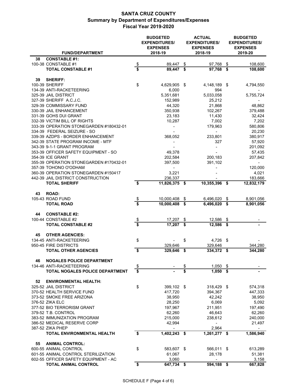|                                                  |                         | <b>BUDGETED</b><br><b>EXPENDITURES/</b><br><b>EXPENSES</b> |          | <b>ACTUAL</b><br><b>EXPENDITURES/</b><br><b>EXPENSES</b> |      | <b>BUDGETED</b><br><b>EXPENDITURES/</b><br><b>EXPENSES</b> |  |  |
|--------------------------------------------------|-------------------------|------------------------------------------------------------|----------|----------------------------------------------------------|------|------------------------------------------------------------|--|--|
| <b>FUND/DEPARTMENT</b>                           |                         | 2018-19                                                    |          | 2018-19                                                  |      | 2019-20                                                    |  |  |
| 38<br><b>CONSTABLE #1:</b>                       |                         |                                                            |          |                                                          |      |                                                            |  |  |
| 100-38 CONSTABLE #1<br><b>TOTAL CONSTABLE #1</b> | $\frac{1}{2}$<br>\$     | 89,447<br>89,447                                           | \$<br>\$ | 97,768<br>$97,768$ \$                                    | \$   | 108,600<br>108,600                                         |  |  |
|                                                  |                         |                                                            |          |                                                          |      |                                                            |  |  |
| <b>SHERIFF:</b><br>39                            |                         |                                                            |          |                                                          |      |                                                            |  |  |
| <b>100-39 SHERIFF</b>                            | \$                      | 4,629,905 \$                                               |          | 4,148,189                                                | \$   | 4,794,550                                                  |  |  |
| 134-39 ANTI-RACKETEERING                         |                         | 6,000                                                      |          | 994                                                      |      |                                                            |  |  |
| 325-39 JAIL DISTRICT                             |                         | 5,351,681                                                  |          | 5,033,058                                                |      | 5,755,724                                                  |  |  |
| 327-39 SHERIFF A.C.J.C.                          |                         | 152,989                                                    |          | 25,212                                                   |      | $\overline{\phantom{a}}$                                   |  |  |
| 329-39 COMMISSARY FUND                           |                         | 44,320                                                     |          | 21,868                                                   |      | 48,862                                                     |  |  |
| 330-39 JAIL ENHANCEMENT                          |                         | 350,938                                                    |          | 102,267                                                  |      | 379,488                                                    |  |  |
| 331-39 GOHS DUI GRANT                            |                         | 23,183                                                     |          | 11,430                                                   |      | 32,424                                                     |  |  |
| 332-39 VICTIM BILL OF RIGHTS                     |                         | 10,287                                                     |          | 7,002                                                    |      | 7,202                                                      |  |  |
| 333-39 OPERATION STONEGARDEN #180432-01          |                         | -                                                          |          | 179,963                                                  |      | 580,806                                                    |  |  |
| 334-39 FEDERAL SEIZURE - SO                      |                         |                                                            |          |                                                          |      | 20,230                                                     |  |  |
| 339-39 AZDPS - BORDER ENHANCEMENT                |                         | 368,052                                                    |          | 233,801                                                  |      | 380,917                                                    |  |  |
| 342-39 STATE PROGRAM INCOME - MTF                |                         |                                                            |          | 327                                                      |      | 57,920                                                     |  |  |
| 343-39 9-1-1 GRANT PROGRAM                       |                         |                                                            |          |                                                          |      | 201,092                                                    |  |  |
| 353-39 OFFICER SAFETY EQUIPMENT - SO             |                         | 49,378                                                     |          |                                                          |      | 57,435                                                     |  |  |
| 354-39 ICE GRANT                                 |                         | 202,584                                                    |          | 200,183                                                  |      | 207,842                                                    |  |  |
| 355-39 OPERATION STONEGARDEN #170432-01          |                         | 397,500                                                    |          | 391,102                                                  |      | $\sim$                                                     |  |  |
| 357-39 TOHONO O'ODHAM                            |                         |                                                            |          |                                                          |      | 120,000                                                    |  |  |
| 360-39 OPERATION STONEGARDEN #150417             |                         | 3,221                                                      |          |                                                          |      | 4,021                                                      |  |  |
| 442-39 JAIL DISTRICT CONSTRUCTION                |                         | 236,337                                                    |          |                                                          |      | 183,666                                                    |  |  |
| <b>TOTAL SHERIFF</b>                             | \$                      | 11,826,375 \$                                              |          | 10,355,396 \$                                            |      | 12,832,179                                                 |  |  |
| 43<br><b>ROAD:</b>                               |                         |                                                            |          |                                                          |      |                                                            |  |  |
| 105-43 ROAD FUND                                 | $\frac{1}{2}$           | 10,000,408                                                 | \$       | 6,496,020                                                | \$   | 8,901,056                                                  |  |  |
| <b>TOTAL ROAD</b>                                | $\overline{\mathbf{s}}$ | 10,000,408 \$                                              |          | $6,496,020$ \$                                           |      | 8,901,056                                                  |  |  |
|                                                  |                         |                                                            |          |                                                          |      |                                                            |  |  |
| <b>CONSTABLE #2:</b><br>44                       |                         |                                                            |          |                                                          |      |                                                            |  |  |
| 100-44 CONSTABLE #2                              | \$                      | 17,207                                                     | \$       | 12,586                                                   | - \$ |                                                            |  |  |
| <b>TOTAL CONSTABLE #2</b>                        | $\overline{\mathbf{s}}$ | 17,207 \$                                                  |          | 12,586 \$                                                |      |                                                            |  |  |
|                                                  |                         |                                                            |          |                                                          |      |                                                            |  |  |
| <b>OTHER AGENCIES:</b><br>45                     |                         |                                                            |          |                                                          |      |                                                            |  |  |
| 134-45 ANTI-RACKETEERING                         | \$                      |                                                            | \$       | 4,726 \$                                                 |      |                                                            |  |  |
| 950-45 FIRE DISTRICTS                            |                         | 329,646                                                    |          | 329,646                                                  |      | 344,280                                                    |  |  |
| <b>TOTAL OTHER AGENCIES</b>                      | \$                      | 329,646                                                    | \$       | 334,372                                                  | \$   | 344,280                                                    |  |  |
| <b>NOGALES POLICE DEPARTMENT</b><br>46           |                         |                                                            |          |                                                          |      |                                                            |  |  |
| 134-46 ANTI-RACKETEERING                         | $\frac{1}{2}$           |                                                            | \$       | $1,050$ \$                                               |      |                                                            |  |  |
| TOTAL NOGALES POLICE DEPARTMENT                  | \$                      |                                                            | \$       | $1,050$ \$                                               |      |                                                            |  |  |
|                                                  |                         |                                                            |          |                                                          |      |                                                            |  |  |
| 52<br><b>ENVIRONMENTAL HEALTH:</b>               |                         |                                                            |          |                                                          |      |                                                            |  |  |
| 325-52 JAIL DISTRICT                             | \$                      | 399,102 \$                                                 |          | 318,429 \$                                               |      | 574,318                                                    |  |  |
| 370-52 HEALTH SERVICE FUND                       |                         | 417,720                                                    |          | 394,367                                                  |      | 447,333                                                    |  |  |
| 373-52 SMOKE FREE ARIZONA                        |                         | 38,950                                                     |          | 42,242                                                   |      | 38,950                                                     |  |  |
| 376-52 ZIKA ELC                                  |                         | 28,250                                                     |          | 6,069                                                    |      | 5,092                                                      |  |  |
| 377-52 BIO TERRORISM GRANT                       |                         | 197,967                                                    |          | 211,951                                                  |      | 197,490                                                    |  |  |
| 379-52 T.B. CONTROL                              |                         | 62,260                                                     |          | 46,643                                                   |      | 62,260                                                     |  |  |
| 383-52 IMMUNIZATION PROGRAM                      |                         | 215,000                                                    |          | 238,612                                                  |      | 240,000                                                    |  |  |
| 386-52 MEDICAL RESERVE CORP                      |                         | 42,994                                                     |          |                                                          |      | 21,497                                                     |  |  |
| 387-52 ZIKA PHEP                                 |                         |                                                            |          | 2,964                                                    |      |                                                            |  |  |
| TOTAL ENVIRONMENTAL HEALTH                       | \$                      | 1,402,243 \$                                               |          | $\overline{1,261,277}$ \$                                |      | 1,586,940                                                  |  |  |
|                                                  |                         |                                                            |          |                                                          |      |                                                            |  |  |
| <b>ANIMAL CONTROL:</b><br>55                     |                         |                                                            |          |                                                          |      |                                                            |  |  |
| 600-55 ANIMAL CONTROL                            | \$                      | 583,607 \$                                                 |          | 566,011 \$                                               |      | 613,289                                                    |  |  |
| 601-55 ANIMAL CONTROL STERILIZATION              |                         | 61,067                                                     |          | 28,178                                                   |      | 51,381                                                     |  |  |
| 602-55 OFFICER SAFETY EQUIPMENT - AC             |                         | 3,060                                                      |          | $\overline{\phantom{a}}$                                 |      | 3,158                                                      |  |  |
| <b>TOTAL ANIMAL CONTROL</b>                      | \$                      | 647,734 \$                                                 |          | 594,188                                                  | \$   | 667,828                                                    |  |  |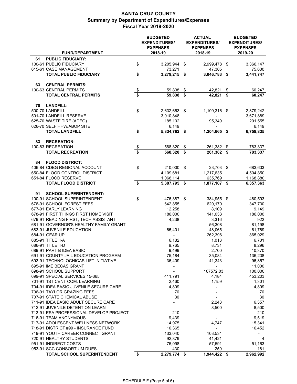|                                                                         |                                      | <b>BUDGETED</b><br><b>EXPENDITURES/</b><br><b>EXPENSES</b> |     | <b>ACTUAL</b><br><b>EXPENDITURES/</b><br><b>EXPENSES</b> | <b>BUDGETED</b><br><b>EXPENDITURES/</b><br><b>EXPENSES</b> |                        |  |  |
|-------------------------------------------------------------------------|--------------------------------------|------------------------------------------------------------|-----|----------------------------------------------------------|------------------------------------------------------------|------------------------|--|--|
| <b>FUND/DEPARTMENT</b>                                                  |                                      | 2018-19                                                    |     | 2018-19                                                  |                                                            | 2019-20                |  |  |
| 61<br><b>PUBLIC FIDUCIARY:</b>                                          |                                      |                                                            |     |                                                          |                                                            |                        |  |  |
| 100-61 PUBLIC FIDUCIARY                                                 | \$                                   | 3,205,944                                                  | -\$ | 2,999,478 \$                                             |                                                            | 3,366,147              |  |  |
| 615-61 CASE MANAGEMENT                                                  | \$                                   | 73,271                                                     |     | 47,305                                                   |                                                            | 75,600                 |  |  |
| <b>TOTAL PUBLIC FIDUCIARY</b>                                           |                                      | 3,279,215 \$                                               |     | 3,046,783                                                | \$                                                         | 3,441,747              |  |  |
| <b>CENTRAL PERMITS:</b><br>63                                           |                                      |                                                            |     |                                                          |                                                            |                        |  |  |
| 100-63 CENTRAL PERMITS                                                  | $\frac{1}{2}$                        | 59,838                                                     | \$  | 42,821                                                   | \$                                                         | 60,247                 |  |  |
| <b>TOTAL CENTRAL PERMITS</b>                                            |                                      | 59,838                                                     | \$  | 42,821 \$                                                |                                                            | 60,247                 |  |  |
|                                                                         |                                      |                                                            |     |                                                          |                                                            |                        |  |  |
| <b>LANDFILL:</b><br>70<br>500-70 LANDFILL                               | \$                                   |                                                            |     |                                                          |                                                            |                        |  |  |
| 501-70 LANDFILL RESERVE                                                 |                                      | 2,632,663<br>3,010,848                                     | -\$ | 1,109,316 \$                                             |                                                            | 2,879,242<br>3,671,889 |  |  |
| 625-70 WASTE TIRE (ADEQ)                                                |                                      | 185,102                                                    |     | 95,349                                                   |                                                            | 201,555                |  |  |
| 626-70 SELF HHW/ABOP SITE                                               |                                      | 6,149                                                      |     |                                                          |                                                            | 6,149                  |  |  |
| <b>TOTAL LANDFILL</b>                                                   | \$                                   | 5,834,762 \$                                               |     | 1,204,665                                                | - \$                                                       | 6,758,835              |  |  |
|                                                                         |                                      |                                                            |     |                                                          |                                                            |                        |  |  |
| 83<br><b>RECREATION:</b>                                                |                                      |                                                            |     |                                                          |                                                            |                        |  |  |
| 100-83 RECREATION                                                       | $\frac{1}{2}$                        | 568,320                                                    | \$  | 261,382 \$                                               |                                                            | 783,337                |  |  |
| <b>TOTAL RECREATION</b>                                                 |                                      | $568,320$ \$                                               |     | $261,382$ \$                                             |                                                            | 783,337                |  |  |
| <b>FLOOD DISTRICT:</b><br>84                                            |                                      |                                                            |     |                                                          |                                                            |                        |  |  |
| 406-84 CDBG REGIONAL ACCOUNT                                            | \$                                   | 210,000 \$                                                 |     | 23,703 \$                                                |                                                            | 683,633                |  |  |
| 650-84 FLOOD CONTROL DISTRICT                                           |                                      | 4,109,681                                                  |     | 1,217,635                                                |                                                            | 4,504,850              |  |  |
| 651-84 FLOOD RESERVE                                                    |                                      | 1,068,114                                                  |     | 635,769                                                  |                                                            | 1,168,880              |  |  |
| <b>TOTAL FLOOD DISTRICT</b>                                             | $\overline{\boldsymbol{\mathsf{s}}}$ | $5,387,795$ \$                                             |     | 1,877,107 \$                                             |                                                            | 6,357,363              |  |  |
|                                                                         |                                      |                                                            |     |                                                          |                                                            |                        |  |  |
| <b>SCHOOL SUPERINTENDENT:</b><br>91                                     |                                      |                                                            |     |                                                          |                                                            |                        |  |  |
| 100-91 SCHOOL SUPERINTENDENT                                            | \$                                   | 476,387 \$                                                 |     | 384,955 \$                                               |                                                            | 480,593                |  |  |
| 676-91 SCHOOL FOREST FEES<br>677-91 EARLY LEARNING                      |                                      | 642,855<br>12,258                                          |     | 620,170<br>8,109                                         |                                                            | 347,730<br>9,149       |  |  |
| 678-91 FIRST THINGS FIRST HOME VISIT                                    |                                      | 186,000                                                    |     | 141,033                                                  |                                                            | 186,000                |  |  |
| 679-91 READING FIRST, TECH ASSISTANT                                    |                                      | 4,238                                                      |     | 3,316                                                    |                                                            | 922                    |  |  |
| 681-91 GOVERNOR'S HEALTHY FAMILY GRANT                                  |                                      |                                                            |     | 56,308                                                   |                                                            | 81,198                 |  |  |
| 683-91 JUVENILE EDUCATION                                               |                                      | 65,401                                                     |     | 48,065                                                   |                                                            | 61,769                 |  |  |
| 684-91 GEAR UP                                                          |                                      |                                                            |     | 262,396                                                  |                                                            | 865,029                |  |  |
| 685-91 TITLE II-A                                                       |                                      | 6,182                                                      |     | 1,013                                                    |                                                            | 6,701                  |  |  |
| 686-91 TITLE II-D                                                       |                                      | 9,765                                                      |     | 8,731                                                    |                                                            | 8,296                  |  |  |
| 689-91 PART B IDEA BASIC                                                |                                      | 9,499                                                      |     | 2,700                                                    |                                                            | 10,370                 |  |  |
| 691-91 COUNTY JAIL EDUCATION PROGRAM                                    |                                      | 75,184                                                     |     | 35,084                                                   |                                                            | 136,238                |  |  |
| 693-91 TECHNOLOCHICAS LIFT INITIATIVE                                   |                                      | 36,409                                                     |     | 41,343                                                   |                                                            | 96,857                 |  |  |
| 695-91 IME BECAS GRANT                                                  |                                      |                                                            |     | ۰                                                        |                                                            | 11,000                 |  |  |
| 698-91 SCHOOL SUPPORT                                                   |                                      |                                                            |     | 107572.03                                                |                                                            | 100,000                |  |  |
| 699-91 SPECIAL SERVICES 15-365                                          |                                      | 411,791                                                    |     | 4,184                                                    |                                                            | 453,203                |  |  |
| 701-91 1ST CENT COM. LEARNING<br>704-91 IDEA BASIC JUVENILE SECURE CARE |                                      | 2,460<br>4,809                                             |     | 1,159                                                    |                                                            | 1,301                  |  |  |
| 706-91 TAYLOR GRAZING FEES                                              |                                      | 70                                                         |     |                                                          |                                                            | 4,809<br>70            |  |  |
| 707-91 STATE CHEMICAL ABUSE                                             |                                      | 30                                                         |     |                                                          |                                                            | 30                     |  |  |
| 711-91 IDEA BASIC ADULT SECURE CARE                                     |                                      |                                                            |     | 2,243                                                    |                                                            | 6,357                  |  |  |
| 712-91 JUVENILE DETENTION LEARN                                         |                                      |                                                            |     | 8,500                                                    |                                                            | 8,500                  |  |  |
| 713-91 ESA PROFESSIONAL DEVELOP PROJECT                                 |                                      | 210                                                        |     |                                                          |                                                            | 210                    |  |  |
| 716-91 TEAM ANONYMOUS                                                   |                                      | 9,439                                                      |     |                                                          |                                                            | 9,519                  |  |  |
| 717-91 ADOLESCENT WELLNESS NETWORK                                      |                                      | 14,975                                                     |     | 4,747                                                    |                                                            | 15,341                 |  |  |
| 718-91 DISTRICT #99 - INSURANCE FUND                                    |                                      | 10,365                                                     |     | $\blacksquare$                                           |                                                            | 10,452                 |  |  |
| 719-91 YOUTH CAREER CONNECT GRANT                                       |                                      | 133,040                                                    |     | 103,531                                                  |                                                            |                        |  |  |
| 720-91 HEALTHY STUDENTS                                                 |                                      | 92,879                                                     |     | 41,421                                                   |                                                            | 4                      |  |  |
| 951-91 INDIRECT COSTS                                                   |                                      | 75,098                                                     |     | 57,591                                                   |                                                            | 51,163                 |  |  |
| 953-91 SCC CONSORTIUM DUES                                              |                                      | 430                                                        |     | 250                                                      |                                                            | 181                    |  |  |
| TOTAL SCHOOL SUPERINTENDENT                                             | \$                                   | 2,279,774 \$                                               |     | 1,944,422 \$                                             |                                                            | 2,962,992              |  |  |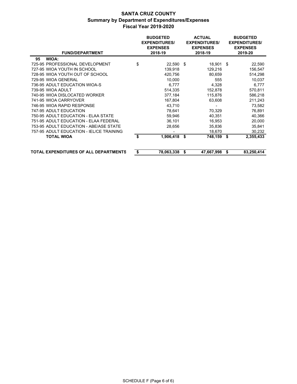| <b>FUND/DEPARTMENT</b>                       | <b>BUDGETED</b><br><b>ACTUAL</b><br><b>EXPENDITURES/</b><br><b>EXPENDITURES/</b><br><b>EXPENSES</b><br><b>EXPENSES</b><br>2018-19<br>2018-19 |    |            |     | <b>BUDGETED</b><br><b>EXPENDITURES/</b><br><b>EXPENSES</b><br>2019-20 |  |  |  |  |
|----------------------------------------------|----------------------------------------------------------------------------------------------------------------------------------------------|----|------------|-----|-----------------------------------------------------------------------|--|--|--|--|
| WIOA:<br>95                                  |                                                                                                                                              |    |            |     |                                                                       |  |  |  |  |
| 725-95 PROFESSIONAL DEVELOPMENT              | \$<br>$22,590$ \$                                                                                                                            |    | 18,901 \$  |     | 22,590                                                                |  |  |  |  |
| 727-95 WIOA YOUTH IN SCHOOL                  | 139,918                                                                                                                                      |    | 129,216    |     | 156,547                                                               |  |  |  |  |
| 728-95 WIOA YOUTH OUT OF SCHOOL              | 420,756                                                                                                                                      |    | 80,659     |     | 514,298                                                               |  |  |  |  |
| 729-95 WIOA GENERAL                          | 10,000                                                                                                                                       |    | 555        |     | 10,037                                                                |  |  |  |  |
| 736-95 ADULT EDUCATION WIOA-S                | 6,777                                                                                                                                        |    | 4,328      |     | 6,777                                                                 |  |  |  |  |
| 739-95 WIOA ADULT                            | 514,335                                                                                                                                      |    | 152,878    |     | 570,811                                                               |  |  |  |  |
| 740-95 WIOA DISLOCATED WORKER                | 377.184                                                                                                                                      |    | 115.876    |     | 586.218                                                               |  |  |  |  |
| 741-95 WIOA CARRYOVER                        | 167,804                                                                                                                                      |    | 63,608     |     | 211,243                                                               |  |  |  |  |
| 746-95 WIOA RAPID RESPONSE                   | 43,710                                                                                                                                       |    |            |     | 73,582                                                                |  |  |  |  |
| 747-95 ADULT EDUCATION                       | 78,641                                                                                                                                       |    | 70,329     |     | 76,891                                                                |  |  |  |  |
| 750-95 ADULT EDUCATION - ELAA STATE          | 59,946                                                                                                                                       |    | 40,351     |     | 40,366                                                                |  |  |  |  |
| 751-95 ADULT EDUCATION - ELAA FEDERAL        | 36,101                                                                                                                                       |    | 16,953     |     | 20,000                                                                |  |  |  |  |
| 753-95 ADULT EDUCATION - ABE/ASE STATE       | 28,656                                                                                                                                       |    | 35,836     |     | 35,841                                                                |  |  |  |  |
| 757-95 ADULT EDUCATION - IEL/CE TRAINING     |                                                                                                                                              |    | 18,670     |     | 30,232                                                                |  |  |  |  |
| <b>TOTAL WIOA</b>                            | \$<br>$1,906,418$ \$                                                                                                                         |    | 748,159    | -\$ | 2,355,433                                                             |  |  |  |  |
| <b>TOTAL EXPENDITURES OF ALL DEPARTMENTS</b> | \$<br>78,063,338                                                                                                                             | S. | 47,667,998 | \$  | 83,250,414                                                            |  |  |  |  |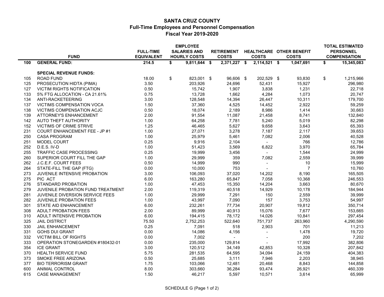#### **SANTA CRUZ COUNTY Full-Time Employees and Personnel Compensation Fiscal Year 2019-2020**

|     |                                        |                                       | <b>EMPLOYEE</b>                            |                                   |                |                                                 | <b>TOTAL ESTIMATED</b>                  |
|-----|----------------------------------------|---------------------------------------|--------------------------------------------|-----------------------------------|----------------|-------------------------------------------------|-----------------------------------------|
|     | <b>FUND</b>                            | <b>FULL-TIME</b><br><b>EQUIVALENT</b> | <b>SALARIES AND</b><br><b>HOURLY COSTS</b> | <b>RETIREMENT</b><br><b>COSTS</b> | <b>COSTS</b>   | <b>HEALTHCARE OTHER BENEFIT</b><br><b>COSTS</b> | <b>PERSONNEL</b><br><b>COMPENSATION</b> |
| 100 | <b>GENERAL FUND:</b>                   | 214.5                                 | \$<br>9,811,644 \$                         | 2,371,227 \$                      | 2,114,521 \$   | 1,047,691                                       | \$<br>15,345,083                        |
|     |                                        |                                       |                                            |                                   |                |                                                 |                                         |
|     | <b>SPECIAL REVENUE FUNDS:</b>          |                                       |                                            |                                   |                |                                                 |                                         |
| 105 | <b>ROAD FUND</b>                       | 18.00                                 | \$<br>823,001 \$                           | 96,606 \$                         | 202,529 \$     | 93,830                                          | \$<br>1,215,966                         |
| 125 | PROSECUTION HIDTA (PIMA)               | 3.50                                  | 203,926                                    | 24,696                            | 52,431         | 15,927                                          | 296,980                                 |
| 127 | <b>VICTIM RIGHTS NOTIFICATION</b>      | 0.50                                  | 15,742                                     | 1,907                             | 3,838          | 1,231                                           | 22,718                                  |
| 133 | 5% FTG ALLOCATION - CA 21.61%          | 0.75                                  | 13,728                                     | 1,662                             | 4,284          | 1,073                                           | 20,747                                  |
| 134 | ANTI-RACKETEERING                      | 3.00                                  | 128,548                                    | 14,394                            | 26,447         | 10,311                                          | 179,700                                 |
| 137 | VICTIMS COMPENSATION VOCA              | 1.50                                  | 37,360                                     | 4,525                             | 14,452         | 2,922                                           | 59,259                                  |
| 138 | VICTIMS COMPENSATION ACJC              | 0.50                                  | 18,074                                     | 2,189                             | 8,986          | 1,414                                           | 30,663                                  |
| 139 | ATTORNEY'S ENHANCEMENT                 | 2.00                                  | 91,554                                     | 11,087                            | 21,458         | 8,741                                           | 132,840                                 |
| 142 | AUTO THEFT AUTHORITY                   | 1.00                                  | 64,258                                     | 7,781                             | 5,240          | 5,019                                           | 82,298                                  |
| 152 | <b>VICTIMS OF CRIME STRIVE</b>         | 1.25                                  | 46,465                                     | 5,627                             | 9,658          | 3,643                                           | 65,393                                  |
| 231 | <b>COURT ENHANCEMENT FEE - JP #1</b>   | 1.00                                  | 27,071                                     | 3,278                             | 7,187          | 2,117                                           | 39,653                                  |
| 250 | <b>CASA PROGRAM</b>                    | 1.00                                  | 25,979                                     | 5,461                             | 7,082          | 2,006                                           | 40,528                                  |
| 251 | <b>MODEL COURT</b>                     | 0.25                                  | 9,916                                      | 2,104                             | $\sim$         | 766                                             | 12,786                                  |
| 252 | D.E.S. IV-D                            | 1.00                                  | 51,423                                     | 3,569                             | 6,822          | 3,970                                           | 65,784                                  |
| 255 | <b>TRAFFIC CASE PROCESSING</b>         | 0.25                                  | 19,999                                     | 3,456                             | $\sim$         | 1,544                                           | 24,999                                  |
| 260 | SUPERIOR COURT FILL THE GAP            | 1.00                                  | 29,999                                     | 359                               | 7,082          | 2,559                                           | 39,999                                  |
| 262 | J.C.E.F. COURT FEES                    | 0.50                                  | 14,999                                     | 990                               | $\blacksquare$ | 10                                              | 15,999                                  |
| 264 | STATE-FILL THE GAP (FTG)               | 0.00                                  | 10,000                                     | 753                               |                | $\overline{7}$                                  | 10,760                                  |
| 273 | JUVENILE INTENSIVE PROBATION           | 3.00                                  | 106,093                                    | 37,020                            | 14,202         | 8,190                                           | 165,505                                 |
| 275 | PIC ACT                                | 6.00                                  | 163,280                                    | 65,847                            | 7,058          | 10,368                                          | 246,553                                 |
| 276 | STANDARD PROBATION                     | 1.00                                  | 47,453                                     | 15,350                            | 14,204         | 3,663                                           | 80,670                                  |
| 279 | JUVENILE PROBATION FUND TREATMENT      | 2.00                                  | 119,319                                    | 40,518                            | 14,929         | 10,178                                          | 184,944                                 |
| 281 | <b>JUVENILE DIVERSION SERVICE FEES</b> | 1.00                                  | 29,999                                     | 7,291                             | 150            | 2,559                                           | 39,999                                  |
| 282 | JUVENILE PROBATION FEES                | 1.00                                  | 43,997                                     | 7,090                             | 157            | 3,753                                           | 54,997                                  |
| 301 | STATE AID ENHANCEMENT                  | 6.00                                  | 232,261                                    | 77,734                            | 20,907         | 19,812                                          | 350,714                                 |
| 308 | ADULT PROBATION FEES                   | 2.00                                  | 89,999                                     | 40,913                            | 15,076         | 7,677                                           | 153,665                                 |
| 310 | ADULT INTENSIVE PROBATION              | 6.00                                  | 194,415                                    | 78,172                            | 14,026         | 10,841                                          | 297,454                                 |
| 325 | <b>JAIL DISTRICT</b>                   | 75.50                                 | 2,752,253                                  | 522,640                           | 751,737        | 263,960                                         | 4,290,590                               |
| 330 | <b>JAIL ENHANCEMENT</b>                | 0.25                                  | 7,091                                      | 518                               | 2,903          | 701                                             | 11,213                                  |
| 331 | <b>GOHS DUI GRANT</b>                  | 0.00                                  | 14,086                                     | 4,156                             | $\blacksquare$ | 1,478                                           | 19,720                                  |
| 332 | <b>VICTIM BILL OF RIGHTS</b>           | 0.00                                  | 7,002                                      | $\sim$                            |                | 200                                             | 7,202                                   |
| 333 | OPERATION STONEGARDEN #180432-01       | 0.00                                  | 235,000                                    | 129,814                           | $\sim$         | 17,992                                          | 382,806                                 |
| 354 | <b>ICE GRANT</b>                       | 3.00                                  | 120,512                                    | 34,149                            | 42,853         | 10,328                                          | 207,842                                 |
| 370 | <b>HEALTH SERVICE FUND</b>             | 5.75                                  | 281,535                                    | 64,595                            | 34,094         | 24,159                                          | 404,383                                 |
| 373 | SMOKE FREE ARIZONA                     | 0.50                                  | 25,685                                     | 3,111                             | 7,946          | 2,203                                           | 38,945                                  |
| 377 | <b>BIO TERRORISM GRANT</b>             | 1.75                                  | 103,066                                    | 12,481                            | 20,468         | 8,843                                           | 144,858                                 |
| 600 | <b>ANIMAL CONTROL</b>                  | 8.00                                  | 303,660                                    | 36,284                            | 93,474         | 26,921                                          | 460,339                                 |
| 615 | <b>CASE MANAGEMENT</b>                 | 1.50                                  | 46,217                                     | 5,597                             | 10,571         | 3,614                                           | 65,999                                  |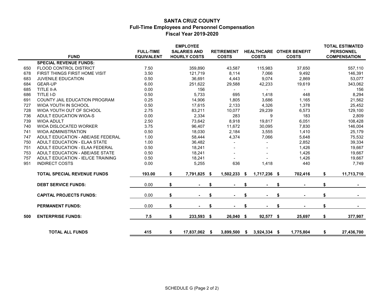#### **SANTA CRUZ COUNTY Full-Time Employees and Personnel Compensation Fiscal Year 2019-2020**

|     | <b>FUND</b>                          | <b>FULL-TIME</b><br><b>EQUIVALENT</b> | <b>EMPLOYEE</b><br><b>SALARIES AND</b><br><b>HOURLY COSTS</b> |     | <b>RETIREMENT</b><br><b>COSTS</b> |    | <b>COSTS</b>   | <b>HEALTHCARE OTHER BENEFIT</b><br><b>COSTS</b> | <b>TOTAL ESTIMATED</b><br><b>PERSONNEL</b><br><b>COMPENSATION</b> |
|-----|--------------------------------------|---------------------------------------|---------------------------------------------------------------|-----|-----------------------------------|----|----------------|-------------------------------------------------|-------------------------------------------------------------------|
|     | <b>SPECIAL REVENUE FUNDS:</b>        |                                       |                                                               |     |                                   |    |                |                                                 |                                                                   |
| 650 | FLOOD CONTROL DISTRICT               | 7.50                                  | 359,890                                                       |     | 43,587                            |    | 115,983        | 37,650                                          | 557,110                                                           |
| 678 | FIRST THINGS FIRST HOME VISIT        | 3.50                                  | 121,719                                                       |     | 8,114                             |    | 7,066          | 9,492                                           | 146,391                                                           |
| 683 | JUVENILE EDUCATION                   | 0.50                                  | 36,691                                                        |     | 4,443                             |    | 9,074          | 2,869                                           | 53,077                                                            |
| 684 | <b>GEAR-UP</b>                       | 6.00                                  | 251,622                                                       |     | 29,588                            |    | 42,233         | 19,619                                          | 343,062                                                           |
| 685 | TITLE II-A                           | 0.00                                  | 156                                                           |     | $\blacksquare$                    |    |                |                                                 | 156                                                               |
| 686 | TITLE I-D                            | 0.50                                  | 5,733                                                         |     | 695                               |    | 1,418          | 448                                             | 8,294                                                             |
| 691 | <b>COUNTY JAIL EDUCATION PROGRAM</b> | 0.25                                  | 14,906                                                        |     | 1,805                             |    | 3,686          | 1,165                                           | 21,562                                                            |
| 727 | <b>WIOA YOUTH IN SCHOOL</b>          | 0.50                                  | 17,615                                                        |     | 2,133                             |    | 4,326          | 1,378                                           | 25,452                                                            |
| 728 | WIOA YOUTH OUT OF SCHOOL             | 2.75                                  | 83,211                                                        |     | 10,077                            |    | 29,239         | 6,573                                           | 129,100                                                           |
| 736 | ADULT EDUCATION WIOA-S               | 0.00                                  | 2,334                                                         |     | 283                               |    | 9              | 183                                             | 2,809                                                             |
| 739 | <b>WIOA ADULT</b>                    | 2.50                                  | 73,642                                                        |     | 8,918                             |    | 19,817         | 6,051                                           | 108,428                                                           |
| 740 | WIOA DISLOCATED WORKER               | 3.75                                  | 96,407                                                        |     | 11,672                            |    | 30,095         | 7,830                                           | 146,004                                                           |
| 741 | <b>WIOA ADMINISTRATION</b>           | 0.50                                  | 18,030                                                        |     | 2,184                             |    | 3,555          | 1,410                                           | 25,179                                                            |
| 747 | ADULT EDUCATION - ABE/ASE FEDERAL    | 1.00                                  | 58,444                                                        |     | 4,374                             |    | 7,066          | 5,648                                           | 75,532                                                            |
| 750 | ADULT EDUCATION - ELAA STATE         | 1.00                                  | 36,482                                                        |     |                                   |    |                | 2,852                                           | 39,334                                                            |
| 751 | ADULT EDUCATION - ELAA FEDERAL       | 0.50                                  | 18,241                                                        |     |                                   |    |                | 1,426                                           | 19,667                                                            |
| 753 | ADULT EDUCATION - ABE/ASE STATE      | 0.50                                  | 18,241                                                        |     |                                   |    |                | 1,426                                           | 19,667                                                            |
| 757 | ADULT EDUCATION - IEL/CE TRAINING    | 0.50                                  | 18,241                                                        |     |                                   |    |                | 1,426                                           | 19,667                                                            |
| 951 | <b>INDIRECT COSTS</b>                | 0.00                                  | 5,255                                                         |     | 636                               |    | 1,418          | 440                                             | 7,749                                                             |
|     | <b>TOTAL SPECIAL REVENUE FUNDS</b>   | 193.00                                | \$<br>7,791,825                                               | \$  | 1,502,233                         | \$ | 1,717,236 \$   | 702,416                                         | \$<br>11,713,710                                                  |
|     | <b>DEBT SERVICE FUNDS:</b>           | 0.00                                  | \$                                                            | S   |                                   | S  |                | \$                                              | \$                                                                |
|     | <b>CAPITAL PROJECTS FUNDS:</b>       | 0.00                                  | \$                                                            | \$  |                                   | \$ |                | \$                                              | \$<br>$\sim$                                                      |
|     | <b>PERMANENT FUNDS:</b>              | 0.00                                  | \$                                                            | S   |                                   | S  |                | \$                                              | \$                                                                |
| 500 | <b>ENTERPRISE FUNDS:</b>             | 7.5                                   | \$<br>233,593                                                 | \$  | 26,040                            | \$ | 92,577 \$      | 25,697                                          | \$<br>377,907                                                     |
|     | <b>TOTAL ALL FUNDS</b>               | 415                                   | \$<br>17,837,062                                              | -\$ | 3,899,500                         | \$ | $3,924,334$ \$ | 1,775,804                                       | \$<br>27,436,700                                                  |